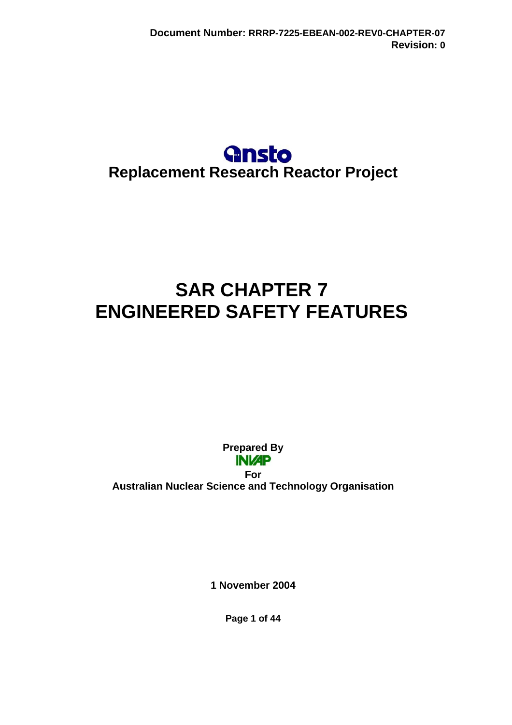## **Gnsto Replacement Research Reactor Project**

# **SAR CHAPTER 7 ENGINEERED SAFETY FEATURES**

**Prepared By INIZP** 

**For Australian Nuclear Science and Technology Organisation** 

**1 November 2004** 

**Page 1 of 44**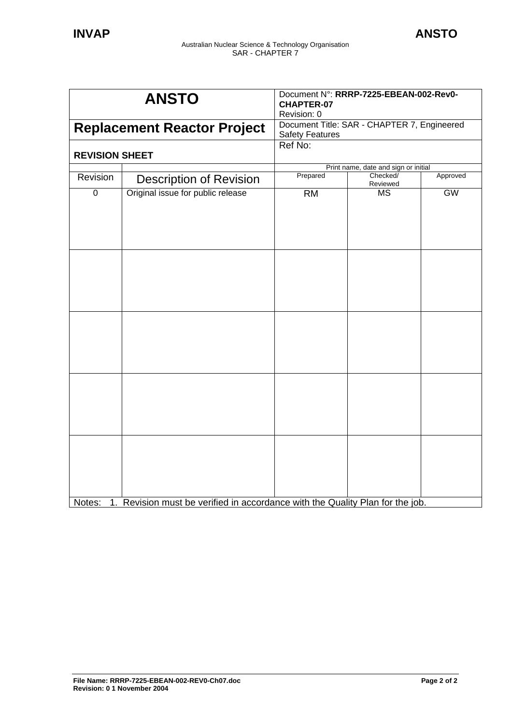| <b>ANSTO</b><br><b>Replacement Reactor Project</b><br><b>REVISION SHEET</b> |                                                                               | Document N°: RRRP-7225-EBEAN-002-Rev0-<br><b>CHAPTER-07</b><br>Revision: 0<br>Document Title: SAR - CHAPTER 7, Engineered<br><b>Safety Features</b><br>Ref No: |           |           |          |                                |          |                                      |          |
|-----------------------------------------------------------------------------|-------------------------------------------------------------------------------|----------------------------------------------------------------------------------------------------------------------------------------------------------------|-----------|-----------|----------|--------------------------------|----------|--------------------------------------|----------|
|                                                                             |                                                                               |                                                                                                                                                                |           |           |          |                                |          | Print name, date and sign or initial |          |
|                                                                             |                                                                               |                                                                                                                                                                |           |           | Revision | <b>Description of Revision</b> | Prepared | Checked/<br>Reviewed                 | Approved |
| $\mathbf 0$                                                                 | Original issue for public release                                             | <b>RM</b>                                                                                                                                                      | <b>MS</b> | <b>GW</b> |          |                                |          |                                      |          |
|                                                                             |                                                                               |                                                                                                                                                                |           |           |          |                                |          |                                      |          |
|                                                                             |                                                                               |                                                                                                                                                                |           |           |          |                                |          |                                      |          |
|                                                                             |                                                                               |                                                                                                                                                                |           |           |          |                                |          |                                      |          |
| Notes:                                                                      | 1. Revision must be verified in accordance with the Quality Plan for the job. |                                                                                                                                                                |           |           |          |                                |          |                                      |          |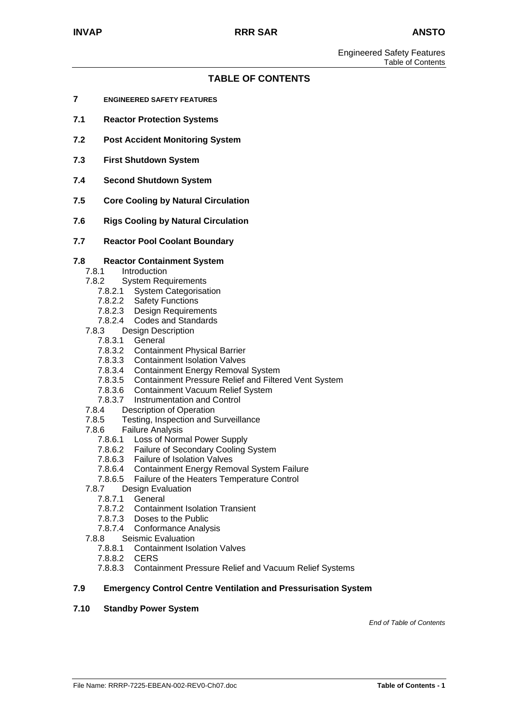#### **TABLE OF CONTENTS**

- **7 ENGINEERED SAFETY FEATURES**
- **7.1 Reactor Protection Systems**
- **7.2 Post Accident Monitoring System**
- **7.3 First Shutdown System**
- **7.4 Second Shutdown System**
- **7.5 Core Cooling by Natural Circulation**
- **7.6 Rigs Cooling by Natural Circulation**
- **7.7 Reactor Pool Coolant Boundary**

#### **7.8 Reactor Containment System**

- 7.8.1 Introduction
- 7.8.2 System Requirements
	- 7.8.2.1 System Categorisation
	- 7.8.2.2 Safety Functions
	- 7.8.2.3 Design Requirements
	- 7.8.2.4 Codes and Standards
- 7.8.3 Design Description
	- 7.8.3.1 General
	- 7.8.3.2 Containment Physical Barrier
	- 7.8.3.3 Containment Isolation Valves
	- 7.8.3.4 Containment Energy Removal System
	- 7.8.3.5 Containment Pressure Relief and Filtered Vent System
	- 7.8.3.6 Containment Vacuum Relief System<br>7.8.3.7 Instrumentation and Control
- 7.8.3.7 Instrumentation and Control<br>7.8.4 Description of Operation
- Description of Operation
- 7.8.5 Testing, Inspection and Surveillance
- 7.8.6 Failure Analysis
	- 7.8.6.1 Loss of Normal Power Supply
	- 7.8.6.2 Failure of Secondary Cooling System
	- 7.8.6.3 Failure of Isolation Valves
	- 7.8.6.4 Containment Energy Removal System Failure
	- 7.8.6.5 Failure of the Heaters Temperature Control
- 7.8.7 Design Evaluation
	- 7.8.7.1 General
	- 7.8.7.2 Containment Isolation Transient
	- 7.8.7.3 Doses to the Public
	- 7.8.7.4 Conformance Analysis
- 7.8.8 Seismic Evaluation
	- 7.8.8.1 Containment Isolation Valves
	- 7.8.8.2 CERS
	- 7.8.8.3 Containment Pressure Relief and Vacuum Relief Systems

#### **7.9 Emergency Control Centre Ventilation and Pressurisation System**

#### **7.10 Standby Power System**

*End of Table of Contents*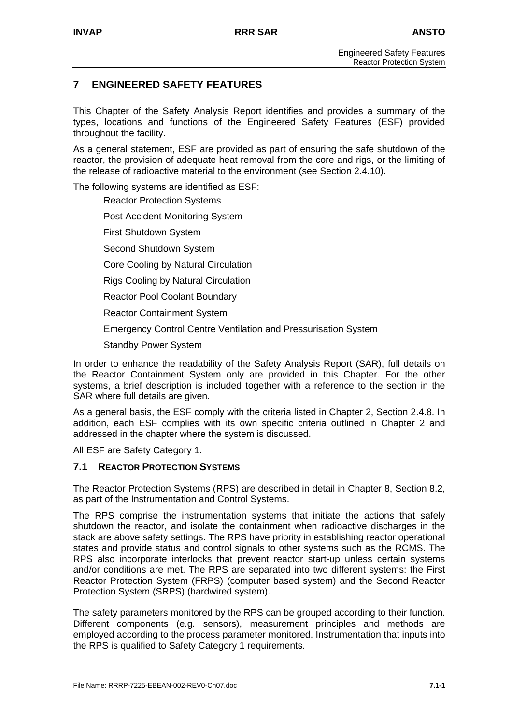## **7 ENGINEERED SAFETY FEATURES**

This Chapter of the Safety Analysis Report identifies and provides a summary of the types, locations and functions of the Engineered Safety Features (ESF) provided throughout the facility.

As a general statement, ESF are provided as part of ensuring the safe shutdown of the reactor, the provision of adequate heat removal from the core and rigs, or the limiting of the release of radioactive material to the environment (see Section 2.4.10).

The following systems are identified as ESF:

Reactor Protection Systems

Post Accident Monitoring System

First Shutdown System

Second Shutdown System

Core Cooling by Natural Circulation

Rigs Cooling by Natural Circulation

Reactor Pool Coolant Boundary

Reactor Containment System

Emergency Control Centre Ventilation and Pressurisation System

Standby Power System

In order to enhance the readability of the Safety Analysis Report (SAR), full details on the Reactor Containment System only are provided in this Chapter. For the other systems, a brief description is included together with a reference to the section in the SAR where full details are given.

As a general basis, the ESF comply with the criteria listed in Chapter 2, Section 2.4.8. In addition, each ESF complies with its own specific criteria outlined in Chapter 2 and addressed in the chapter where the system is discussed.

All ESF are Safety Category 1.

## **7.1 REACTOR PROTECTION SYSTEMS**

The Reactor Protection Systems (RPS) are described in detail in Chapter 8, Section 8.2, as part of the Instrumentation and Control Systems.

The RPS comprise the instrumentation systems that initiate the actions that safely shutdown the reactor, and isolate the containment when radioactive discharges in the stack are above safety settings. The RPS have priority in establishing reactor operational states and provide status and control signals to other systems such as the RCMS. The RPS also incorporate interlocks that prevent reactor start-up unless certain systems and/or conditions are met. The RPS are separated into two different systems: the First Reactor Protection System (FRPS) (computer based system) and the Second Reactor Protection System (SRPS) (hardwired system).

The safety parameters monitored by the RPS can be grouped according to their function. Different components (e.g*.* sensors), measurement principles and methods are employed according to the process parameter monitored. Instrumentation that inputs into the RPS is qualified to Safety Category 1 requirements.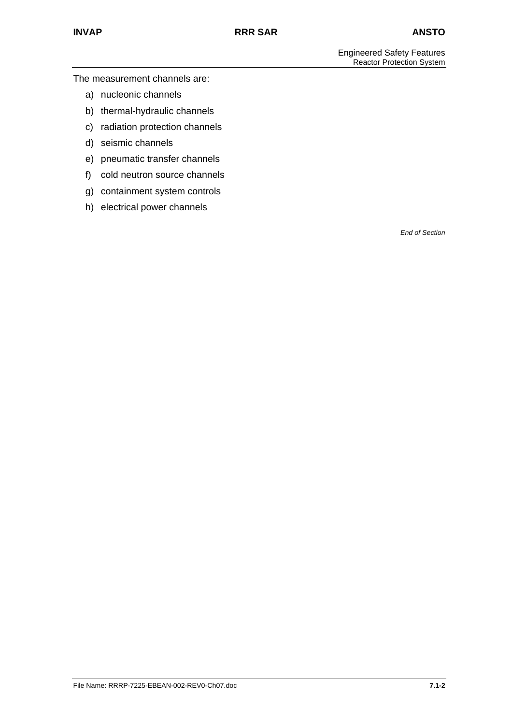The measurement channels are:

- a) nucleonic channels
- b) thermal-hydraulic channels
- c) radiation protection channels
- d) seismic channels
- e) pneumatic transfer channels
- f) cold neutron source channels
- g) containment system controls
- h) electrical power channels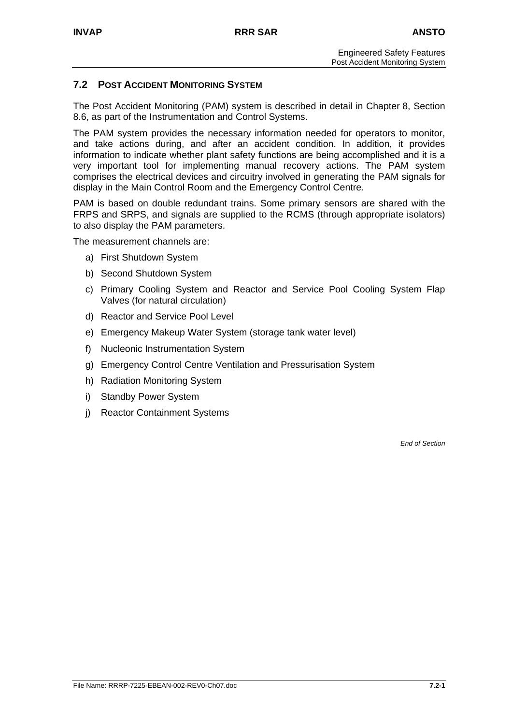## **7.2 POST ACCIDENT MONITORING SYSTEM**

The Post Accident Monitoring (PAM) system is described in detail in Chapter 8, Section 8.6, as part of the Instrumentation and Control Systems.

The PAM system provides the necessary information needed for operators to monitor, and take actions during, and after an accident condition. In addition, it provides information to indicate whether plant safety functions are being accomplished and it is a very important tool for implementing manual recovery actions. The PAM system comprises the electrical devices and circuitry involved in generating the PAM signals for display in the Main Control Room and the Emergency Control Centre.

PAM is based on double redundant trains. Some primary sensors are shared with the FRPS and SRPS, and signals are supplied to the RCMS (through appropriate isolators) to also display the PAM parameters.

The measurement channels are:

- a) First Shutdown System
- b) Second Shutdown System
- c) Primary Cooling System and Reactor and Service Pool Cooling System Flap Valves (for natural circulation)
- d) Reactor and Service Pool Level
- e) Emergency Makeup Water System (storage tank water level)
- f) Nucleonic Instrumentation System
- g) Emergency Control Centre Ventilation and Pressurisation System
- h) Radiation Monitoring System
- i) Standby Power System
- j) Reactor Containment Systems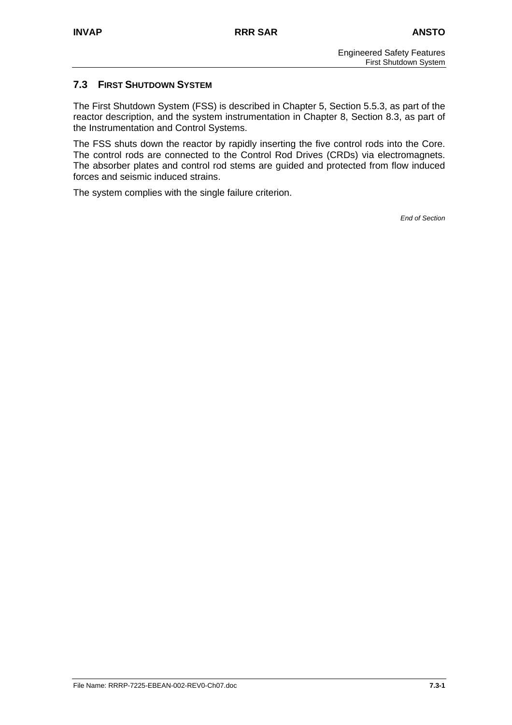## **7.3 FIRST SHUTDOWN SYSTEM**

The First Shutdown System (FSS) is described in Chapter 5, Section 5.5.3, as part of the reactor description, and the system instrumentation in Chapter 8, Section 8.3, as part of the Instrumentation and Control Systems.

The FSS shuts down the reactor by rapidly inserting the five control rods into the Core. The control rods are connected to the Control Rod Drives (CRDs) via electromagnets. The absorber plates and control rod stems are guided and protected from flow induced forces and seismic induced strains.

The system complies with the single failure criterion.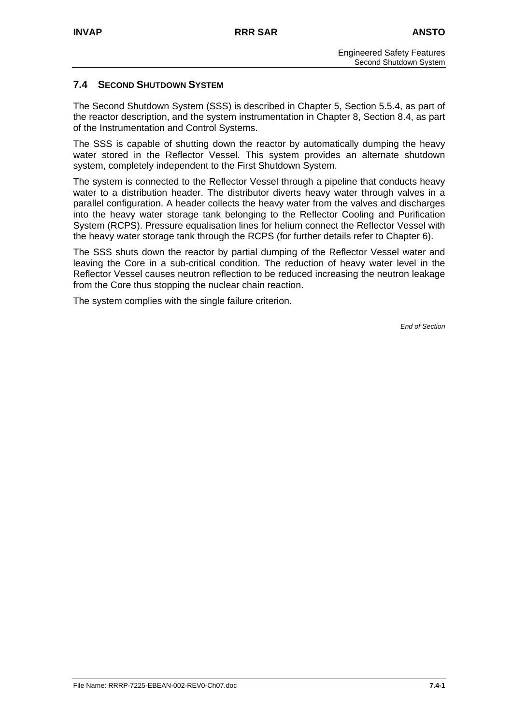## **7.4 SECOND SHUTDOWN SYSTEM**

The Second Shutdown System (SSS) is described in Chapter 5, Section 5.5.4, as part of the reactor description, and the system instrumentation in Chapter 8, Section 8.4, as part of the Instrumentation and Control Systems.

The SSS is capable of shutting down the reactor by automatically dumping the heavy water stored in the Reflector Vessel. This system provides an alternate shutdown system, completely independent to the First Shutdown System.

The system is connected to the Reflector Vessel through a pipeline that conducts heavy water to a distribution header. The distributor diverts heavy water through valves in a parallel configuration. A header collects the heavy water from the valves and discharges into the heavy water storage tank belonging to the Reflector Cooling and Purification System (RCPS). Pressure equalisation lines for helium connect the Reflector Vessel with the heavy water storage tank through the RCPS (for further details refer to Chapter 6).

The SSS shuts down the reactor by partial dumping of the Reflector Vessel water and leaving the Core in a sub-critical condition. The reduction of heavy water level in the Reflector Vessel causes neutron reflection to be reduced increasing the neutron leakage from the Core thus stopping the nuclear chain reaction.

The system complies with the single failure criterion.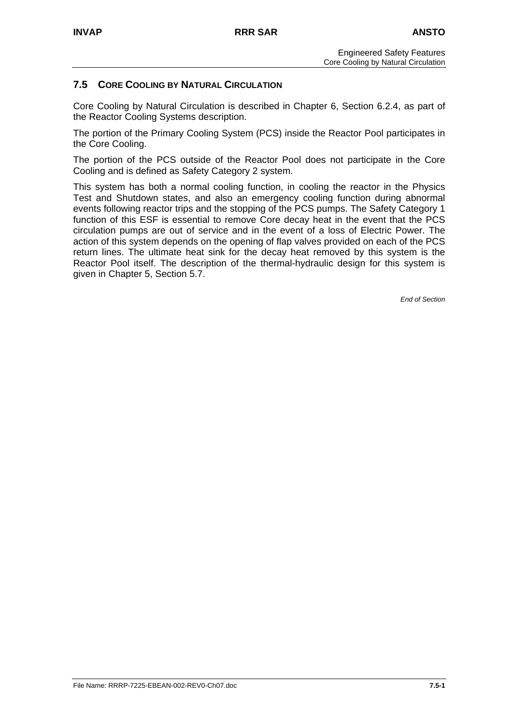## **7.5 CORE COOLING BY NATURAL CIRCULATION**

Core Cooling by Natural Circulation is described in Chapter 6, Section 6.2.4, as part of the Reactor Cooling Systems description.

The portion of the Primary Cooling System (PCS) inside the Reactor Pool participates in the Core Cooling.

The portion of the PCS outside of the Reactor Pool does not participate in the Core Cooling and is defined as Safety Category 2 system.

This system has both a normal cooling function, in cooling the reactor in the Physics Test and Shutdown states, and also an emergency cooling function during abnormal events following reactor trips and the stopping of the PCS pumps. The Safety Category 1 function of this ESF is essential to remove Core decay heat in the event that the PCS circulation pumps are out of service and in the event of a loss of Electric Power. The action of this system depends on the opening of flap valves provided on each of the PCS return lines. The ultimate heat sink for the decay heat removed by this system is the Reactor Pool itself. The description of the thermal-hydraulic design for this system is given in Chapter 5, Section 5.7.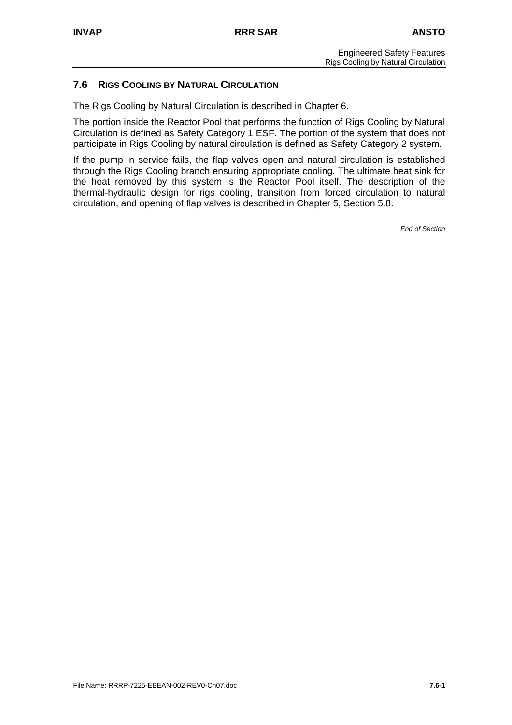## **7.6 RIGS COOLING BY NATURAL CIRCULATION**

The Rigs Cooling by Natural Circulation is described in Chapter 6.

The portion inside the Reactor Pool that performs the function of Rigs Cooling by Natural Circulation is defined as Safety Category 1 ESF. The portion of the system that does not participate in Rigs Cooling by natural circulation is defined as Safety Category 2 system.

If the pump in service fails, the flap valves open and natural circulation is established through the Rigs Cooling branch ensuring appropriate cooling. The ultimate heat sink for the heat removed by this system is the Reactor Pool itself. The description of the thermal-hydraulic design for rigs cooling, transition from forced circulation to natural circulation, and opening of flap valves is described in Chapter 5, Section 5.8.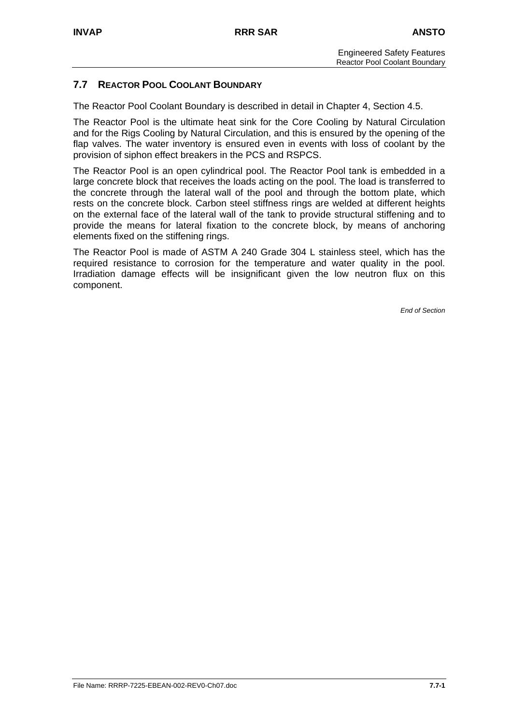## **7.7 REACTOR POOL COOLANT BOUNDARY**

The Reactor Pool Coolant Boundary is described in detail in Chapter 4, Section 4.5.

The Reactor Pool is the ultimate heat sink for the Core Cooling by Natural Circulation and for the Rigs Cooling by Natural Circulation, and this is ensured by the opening of the flap valves. The water inventory is ensured even in events with loss of coolant by the provision of siphon effect breakers in the PCS and RSPCS.

The Reactor Pool is an open cylindrical pool. The Reactor Pool tank is embedded in a large concrete block that receives the loads acting on the pool. The load is transferred to the concrete through the lateral wall of the pool and through the bottom plate, which rests on the concrete block. Carbon steel stiffness rings are welded at different heights on the external face of the lateral wall of the tank to provide structural stiffening and to provide the means for lateral fixation to the concrete block, by means of anchoring elements fixed on the stiffening rings.

The Reactor Pool is made of ASTM A 240 Grade 304 L stainless steel, which has the required resistance to corrosion for the temperature and water quality in the pool. Irradiation damage effects will be insignificant given the low neutron flux on this component.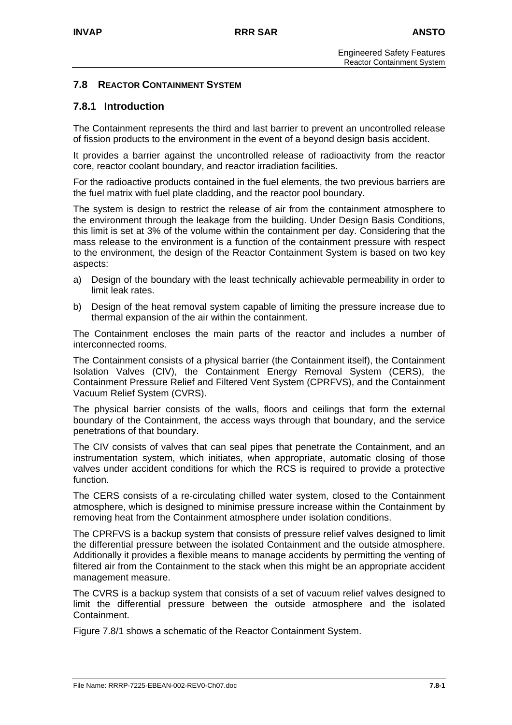## **7.8 REACTOR CONTAINMENT SYSTEM**

## **7.8.1 Introduction**

The Containment represents the third and last barrier to prevent an uncontrolled release of fission products to the environment in the event of a beyond design basis accident.

It provides a barrier against the uncontrolled release of radioactivity from the reactor core, reactor coolant boundary, and reactor irradiation facilities.

For the radioactive products contained in the fuel elements, the two previous barriers are the fuel matrix with fuel plate cladding, and the reactor pool boundary.

The system is design to restrict the release of air from the containment atmosphere to the environment through the leakage from the building. Under Design Basis Conditions, this limit is set at 3% of the volume within the containment per day. Considering that the mass release to the environment is a function of the containment pressure with respect to the environment, the design of the Reactor Containment System is based on two key aspects:

- a) Design of the boundary with the least technically achievable permeability in order to limit leak rates.
- b) Design of the heat removal system capable of limiting the pressure increase due to thermal expansion of the air within the containment.

The Containment encloses the main parts of the reactor and includes a number of interconnected rooms.

The Containment consists of a physical barrier (the Containment itself), the Containment Isolation Valves (CIV), the Containment Energy Removal System (CERS), the Containment Pressure Relief and Filtered Vent System (CPRFVS), and the Containment Vacuum Relief System (CVRS).

The physical barrier consists of the walls, floors and ceilings that form the external boundary of the Containment, the access ways through that boundary, and the service penetrations of that boundary.

The CIV consists of valves that can seal pipes that penetrate the Containment, and an instrumentation system, which initiates, when appropriate, automatic closing of those valves under accident conditions for which the RCS is required to provide a protective function.

The CERS consists of a re-circulating chilled water system, closed to the Containment atmosphere, which is designed to minimise pressure increase within the Containment by removing heat from the Containment atmosphere under isolation conditions.

The CPRFVS is a backup system that consists of pressure relief valves designed to limit the differential pressure between the isolated Containment and the outside atmosphere. Additionally it provides a flexible means to manage accidents by permitting the venting of filtered air from the Containment to the stack when this might be an appropriate accident management measure.

The CVRS is a backup system that consists of a set of vacuum relief valves designed to limit the differential pressure between the outside atmosphere and the isolated Containment.

Figure 7.8/1 shows a schematic of the Reactor Containment System.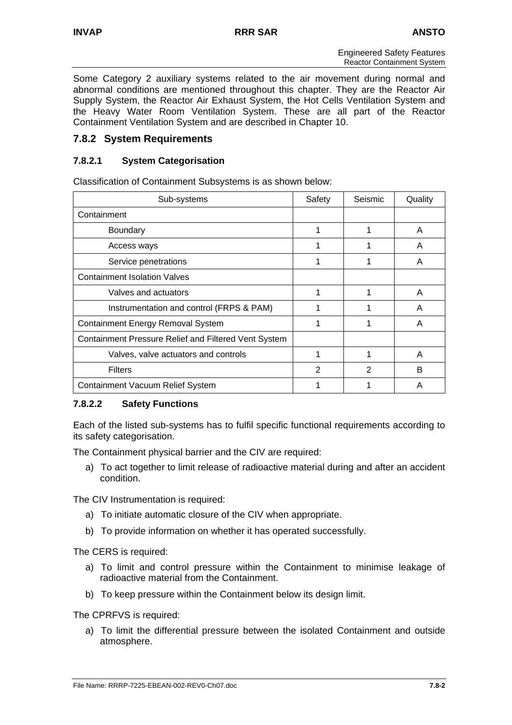Some Category 2 auxiliary systems related to the air movement during normal and abnormal conditions are mentioned throughout this chapter. They are the Reactor Air Supply System, the Reactor Air Exhaust System, the Hot Cells Ventilation System and the Heavy Water Room Ventilation System. These are all part of the Reactor Containment Ventilation System and are described in Chapter 10.

## **7.8.2 System Requirements**

## **7.8.2.1 System Categorisation**

Classification of Containment Subsystems is as shown below:

| Sub-systems                                          | Safety | Seismic | Quality |
|------------------------------------------------------|--------|---------|---------|
| Containment                                          |        |         |         |
| <b>Boundary</b>                                      |        |         | A       |
| Access ways                                          |        |         | A       |
| Service penetrations                                 | 1      |         | A       |
| <b>Containment Isolation Valves</b>                  |        |         |         |
| Valves and actuators                                 | 1      |         | A       |
| Instrumentation and control (FRPS & PAM)             |        |         | A       |
| <b>Containment Energy Removal System</b>             | 1      |         | A       |
| Containment Pressure Relief and Filtered Vent System |        |         |         |
| Valves, valve actuators and controls                 |        |         | A       |
| <b>Filters</b>                                       | 2      | 2       | B       |
| <b>Containment Vacuum Relief System</b>              |        |         | A       |

## **7.8.2.2 Safety Functions**

Each of the listed sub-systems has to fulfil specific functional requirements according to its safety categorisation.

The Containment physical barrier and the CIV are required:

a) To act together to limit release of radioactive material during and after an accident condition.

The CIV Instrumentation is required:

- a) To initiate automatic closure of the CIV when appropriate.
- b) To provide information on whether it has operated successfully.

The CERS is required:

- a) To limit and control pressure within the Containment to minimise leakage of radioactive material from the Containment.
- b) To keep pressure within the Containment below its design limit.

The CPRFVS is required:

a) To limit the differential pressure between the isolated Containment and outside atmosphere.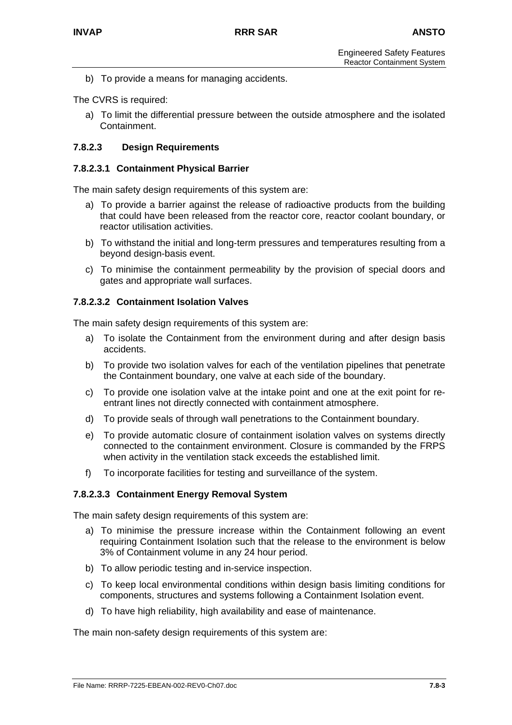b) To provide a means for managing accidents.

The CVRS is required:

a) To limit the differential pressure between the outside atmosphere and the isolated Containment.

## **7.8.2.3 Design Requirements**

#### **7.8.2.3.1 Containment Physical Barrier**

The main safety design requirements of this system are:

- a) To provide a barrier against the release of radioactive products from the building that could have been released from the reactor core, reactor coolant boundary, or reactor utilisation activities.
- b) To withstand the initial and long-term pressures and temperatures resulting from a beyond design-basis event.
- c) To minimise the containment permeability by the provision of special doors and gates and appropriate wall surfaces.

#### **7.8.2.3.2 Containment Isolation Valves**

The main safety design requirements of this system are:

- a) To isolate the Containment from the environment during and after design basis accidents.
- b) To provide two isolation valves for each of the ventilation pipelines that penetrate the Containment boundary, one valve at each side of the boundary.
- c) To provide one isolation valve at the intake point and one at the exit point for reentrant lines not directly connected with containment atmosphere.
- d) To provide seals of through wall penetrations to the Containment boundary.
- e) To provide automatic closure of containment isolation valves on systems directly connected to the containment environment. Closure is commanded by the FRPS when activity in the ventilation stack exceeds the established limit.
- f) To incorporate facilities for testing and surveillance of the system.

#### **7.8.2.3.3 Containment Energy Removal System**

The main safety design requirements of this system are:

- a) To minimise the pressure increase within the Containment following an event requiring Containment Isolation such that the release to the environment is below 3% of Containment volume in any 24 hour period.
- b) To allow periodic testing and in-service inspection.
- c) To keep local environmental conditions within design basis limiting conditions for components, structures and systems following a Containment Isolation event.
- d) To have high reliability, high availability and ease of maintenance.

The main non-safety design requirements of this system are: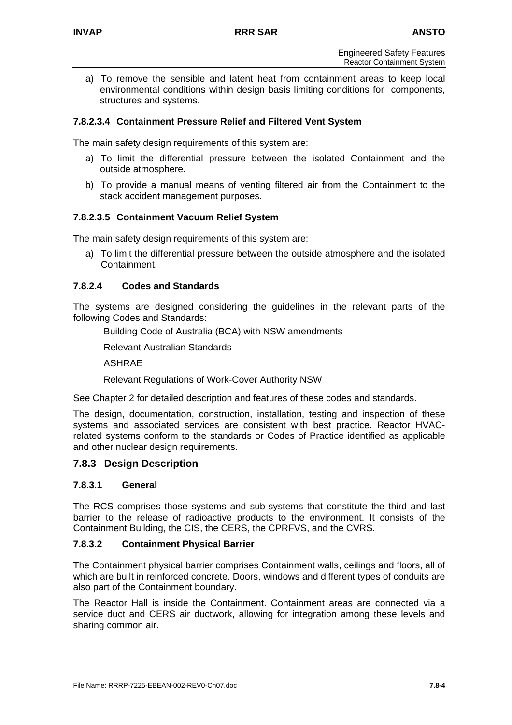a) To remove the sensible and latent heat from containment areas to keep local environmental conditions within design basis limiting conditions for components, structures and systems.

## **7.8.2.3.4 Containment Pressure Relief and Filtered Vent System**

The main safety design requirements of this system are:

- a) To limit the differential pressure between the isolated Containment and the outside atmosphere.
- b) To provide a manual means of venting filtered air from the Containment to the stack accident management purposes.

#### **7.8.2.3.5 Containment Vacuum Relief System**

The main safety design requirements of this system are:

a) To limit the differential pressure between the outside atmosphere and the isolated Containment.

#### **7.8.2.4 Codes and Standards**

The systems are designed considering the guidelines in the relevant parts of the following Codes and Standards:

Building Code of Australia (BCA) with NSW amendments

Relevant Australian Standards

ASHRAE

Relevant Regulations of Work-Cover Authority NSW

See Chapter 2 for detailed description and features of these codes and standards.

The design, documentation, construction, installation, testing and inspection of these systems and associated services are consistent with best practice. Reactor HVACrelated systems conform to the standards or Codes of Practice identified as applicable and other nuclear design requirements.

#### **7.8.3 Design Description**

#### **7.8.3.1 General**

The RCS comprises those systems and sub-systems that constitute the third and last barrier to the release of radioactive products to the environment. It consists of the Containment Building, the CIS, the CERS, the CPRFVS, and the CVRS.

#### **7.8.3.2 Containment Physical Barrier**

The Containment physical barrier comprises Containment walls, ceilings and floors, all of which are built in reinforced concrete. Doors, windows and different types of conduits are also part of the Containment boundary.

The Reactor Hall is inside the Containment. Containment areas are connected via a service duct and CERS air ductwork, allowing for integration among these levels and sharing common air.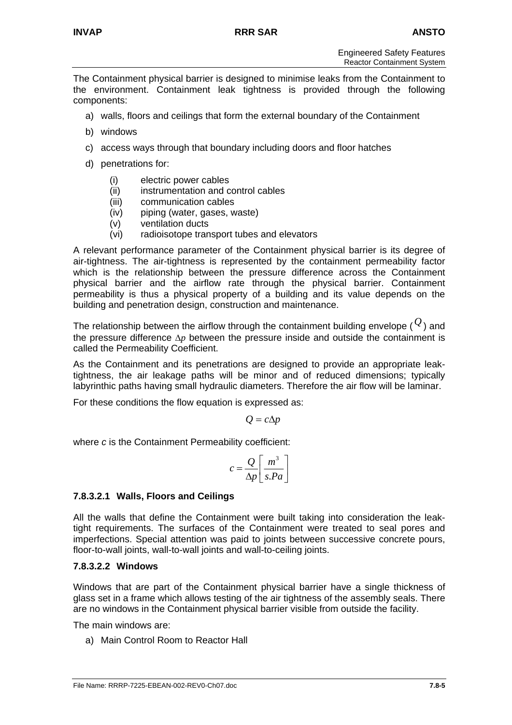The Containment physical barrier is designed to minimise leaks from the Containment to the environment. Containment leak tightness is provided through the following components:

- a) walls, floors and ceilings that form the external boundary of the Containment
- b) windows
- c) access ways through that boundary including doors and floor hatches
- d) penetrations for:
	- (i) electric power cables
	- (ii) instrumentation and control cables
	- (iii) communication cables
	- (iv) piping (water, gases, waste)
	- (v) ventilation ducts
	- (vi) radioisotope transport tubes and elevators

A relevant performance parameter of the Containment physical barrier is its degree of air-tightness. The air-tightness is represented by the containment permeability factor which is the relationship between the pressure difference across the Containment physical barrier and the airflow rate through the physical barrier. Containment permeability is thus a physical property of a building and its value depends on the building and penetration design, construction and maintenance.

The relationship between the airflow through the containment building envelope (  $\overline{\mathcal{Q}}$  ) and the pressure difference ∆*p* between the pressure inside and outside the containment is called the Permeability Coefficient.

As the Containment and its penetrations are designed to provide an appropriate leaktightness, the air leakage paths will be minor and of reduced dimensions; typically labyrinthic paths having small hydraulic diameters. Therefore the air flow will be laminar.

For these conditions the flow equation is expressed as:

$$
Q=c\Delta p
$$

where *c* is the Containment Permeability coefficient:

$$
c = \frac{Q}{\Delta p} \left[ \frac{m^3}{s.Pa} \right]
$$

## **7.8.3.2.1 Walls, Floors and Ceilings**

All the walls that define the Containment were built taking into consideration the leaktight requirements. The surfaces of the Containment were treated to seal pores and imperfections. Special attention was paid to joints between successive concrete pours, floor-to-wall joints, wall-to-wall joints and wall-to-ceiling joints.

## **7.8.3.2.2 Windows**

Windows that are part of the Containment physical barrier have a single thickness of glass set in a frame which allows testing of the air tightness of the assembly seals. There are no windows in the Containment physical barrier visible from outside the facility.

The main windows are:

a) Main Control Room to Reactor Hall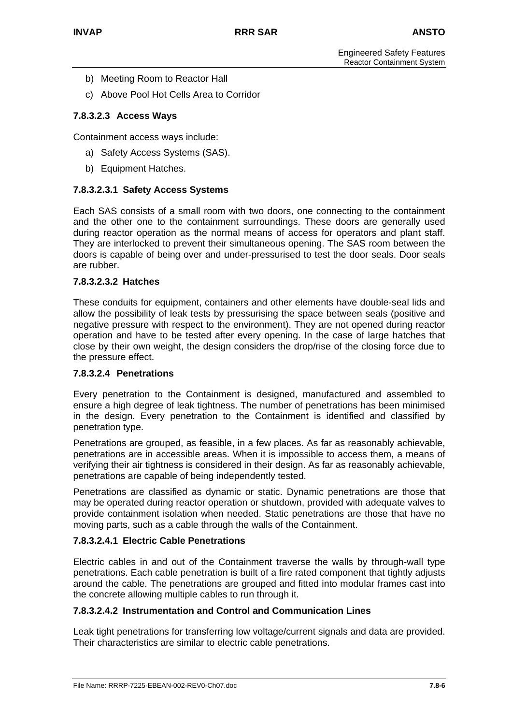- b) Meeting Room to Reactor Hall
- c) Above Pool Hot Cells Area to Corridor

## **7.8.3.2.3 Access Ways**

Containment access ways include:

- a) Safety Access Systems (SAS).
- b) Equipment Hatches.

## **7.8.3.2.3.1 Safety Access Systems**

Each SAS consists of a small room with two doors, one connecting to the containment and the other one to the containment surroundings. These doors are generally used during reactor operation as the normal means of access for operators and plant staff. They are interlocked to prevent their simultaneous opening. The SAS room between the doors is capable of being over and under-pressurised to test the door seals. Door seals are rubber.

## **7.8.3.2.3.2 Hatches**

These conduits for equipment, containers and other elements have double-seal lids and allow the possibility of leak tests by pressurising the space between seals (positive and negative pressure with respect to the environment). They are not opened during reactor operation and have to be tested after every opening. In the case of large hatches that close by their own weight, the design considers the drop/rise of the closing force due to the pressure effect.

#### **7.8.3.2.4 Penetrations**

Every penetration to the Containment is designed, manufactured and assembled to ensure a high degree of leak tightness. The number of penetrations has been minimised in the design. Every penetration to the Containment is identified and classified by penetration type.

Penetrations are grouped, as feasible, in a few places. As far as reasonably achievable, penetrations are in accessible areas. When it is impossible to access them, a means of verifying their air tightness is considered in their design. As far as reasonably achievable, penetrations are capable of being independently tested.

Penetrations are classified as dynamic or static. Dynamic penetrations are those that may be operated during reactor operation or shutdown, provided with adequate valves to provide containment isolation when needed. Static penetrations are those that have no moving parts, such as a cable through the walls of the Containment.

#### **7.8.3.2.4.1 Electric Cable Penetrations**

Electric cables in and out of the Containment traverse the walls by through-wall type penetrations. Each cable penetration is built of a fire rated component that tightly adjusts around the cable. The penetrations are grouped and fitted into modular frames cast into the concrete allowing multiple cables to run through it.

#### **7.8.3.2.4.2 Instrumentation and Control and Communication Lines**

Leak tight penetrations for transferring low voltage/current signals and data are provided. Their characteristics are similar to electric cable penetrations.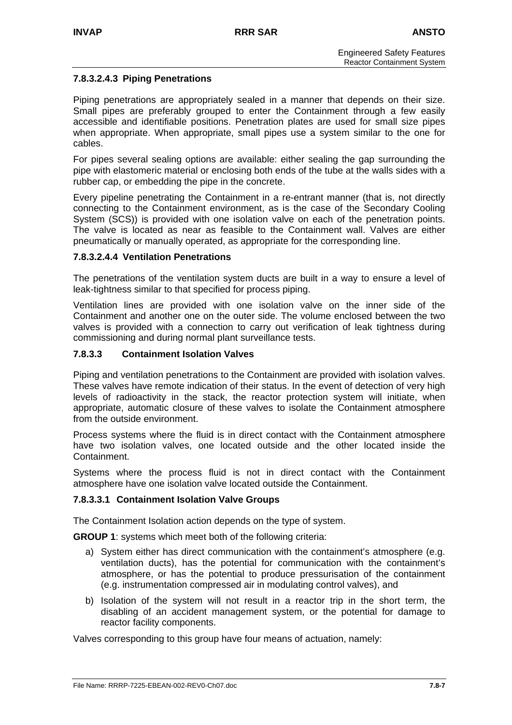## **7.8.3.2.4.3 Piping Penetrations**

Piping penetrations are appropriately sealed in a manner that depends on their size. Small pipes are preferably grouped to enter the Containment through a few easily accessible and identifiable positions. Penetration plates are used for small size pipes when appropriate. When appropriate, small pipes use a system similar to the one for cables.

For pipes several sealing options are available: either sealing the gap surrounding the pipe with elastomeric material or enclosing both ends of the tube at the walls sides with a rubber cap, or embedding the pipe in the concrete.

Every pipeline penetrating the Containment in a re-entrant manner (that is, not directly connecting to the Containment environment, as is the case of the Secondary Cooling System (SCS)) is provided with one isolation valve on each of the penetration points. The valve is located as near as feasible to the Containment wall. Valves are either pneumatically or manually operated, as appropriate for the corresponding line.

#### **7.8.3.2.4.4 Ventilation Penetrations**

The penetrations of the ventilation system ducts are built in a way to ensure a level of leak-tightness similar to that specified for process piping.

Ventilation lines are provided with one isolation valve on the inner side of the Containment and another one on the outer side. The volume enclosed between the two valves is provided with a connection to carry out verification of leak tightness during commissioning and during normal plant surveillance tests.

#### **7.8.3.3 Containment Isolation Valves**

Piping and ventilation penetrations to the Containment are provided with isolation valves. These valves have remote indication of their status. In the event of detection of very high levels of radioactivity in the stack, the reactor protection system will initiate, when appropriate, automatic closure of these valves to isolate the Containment atmosphere from the outside environment.

Process systems where the fluid is in direct contact with the Containment atmosphere have two isolation valves, one located outside and the other located inside the Containment.

Systems where the process fluid is not in direct contact with the Containment atmosphere have one isolation valve located outside the Containment.

#### **7.8.3.3.1 Containment Isolation Valve Groups**

The Containment Isolation action depends on the type of system.

**GROUP 1**: systems which meet both of the following criteria:

- a) System either has direct communication with the containment's atmosphere (e.g. ventilation ducts), has the potential for communication with the containment's atmosphere, or has the potential to produce pressurisation of the containment (e.g. instrumentation compressed air in modulating control valves), and
- b) Isolation of the system will not result in a reactor trip in the short term, the disabling of an accident management system, or the potential for damage to reactor facility components.

Valves corresponding to this group have four means of actuation, namely: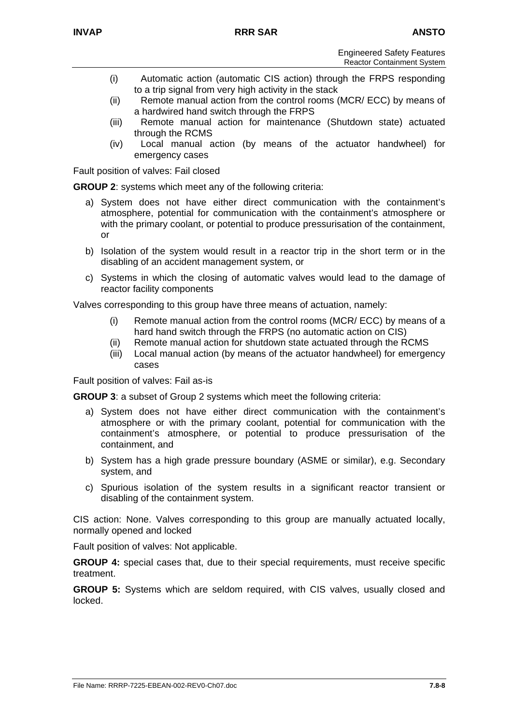- (i) Automatic action (automatic CIS action) through the FRPS responding to a trip signal from very high activity in the stack
- (ii) Remote manual action from the control rooms (MCR/ ECC) by means of a hardwired hand switch through the FRPS
- (iii) Remote manual action for maintenance (Shutdown state) actuated through the RCMS
- (iv) Local manual action (by means of the actuator handwheel) for emergency cases

Fault position of valves: Fail closed

**GROUP 2**: systems which meet any of the following criteria:

- a) System does not have either direct communication with the containment's atmosphere, potential for communication with the containment's atmosphere or with the primary coolant, or potential to produce pressurisation of the containment, or
- b) Isolation of the system would result in a reactor trip in the short term or in the disabling of an accident management system, or
- c) Systems in which the closing of automatic valves would lead to the damage of reactor facility components

Valves corresponding to this group have three means of actuation, namely:

- (i) Remote manual action from the control rooms (MCR/ ECC) by means of a hard hand switch through the FRPS (no automatic action on CIS)
- (ii) Remote manual action for shutdown state actuated through the RCMS
- (iii) Local manual action (by means of the actuator handwheel) for emergency cases

Fault position of valves: Fail as-is

**GROUP 3**: a subset of Group 2 systems which meet the following criteria:

- a) System does not have either direct communication with the containment's atmosphere or with the primary coolant, potential for communication with the containment's atmosphere, or potential to produce pressurisation of the containment, and
- b) System has a high grade pressure boundary (ASME or similar), e.g. Secondary system, and
- c) Spurious isolation of the system results in a significant reactor transient or disabling of the containment system.

CIS action: None. Valves corresponding to this group are manually actuated locally, normally opened and locked

Fault position of valves: Not applicable.

**GROUP 4:** special cases that, due to their special requirements, must receive specific treatment.

**GROUP 5:** Systems which are seldom required, with CIS valves, usually closed and locked.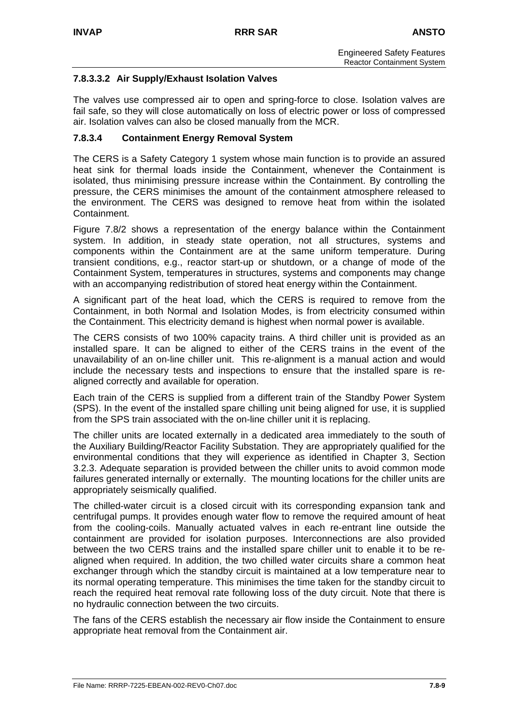## **7.8.3.3.2 Air Supply/Exhaust Isolation Valves**

The valves use compressed air to open and spring-force to close. Isolation valves are fail safe, so they will close automatically on loss of electric power or loss of compressed air. Isolation valves can also be closed manually from the MCR.

## **7.8.3.4 Containment Energy Removal System**

The CERS is a Safety Category 1 system whose main function is to provide an assured heat sink for thermal loads inside the Containment, whenever the Containment is isolated, thus minimising pressure increase within the Containment. By controlling the pressure, the CERS minimises the amount of the containment atmosphere released to the environment. The CERS was designed to remove heat from within the isolated Containment.

Figure 7.8/2 shows a representation of the energy balance within the Containment system. In addition, in steady state operation, not all structures, systems and components within the Containment are at the same uniform temperature. During transient conditions, e.g., reactor start-up or shutdown, or a change of mode of the Containment System, temperatures in structures, systems and components may change with an accompanying redistribution of stored heat energy within the Containment.

A significant part of the heat load, which the CERS is required to remove from the Containment, in both Normal and Isolation Modes, is from electricity consumed within the Containment. This electricity demand is highest when normal power is available.

The CERS consists of two 100% capacity trains. A third chiller unit is provided as an installed spare. It can be aligned to either of the CERS trains in the event of the unavailability of an on-line chiller unit. This re-alignment is a manual action and would include the necessary tests and inspections to ensure that the installed spare is realigned correctly and available for operation.

Each train of the CERS is supplied from a different train of the Standby Power System (SPS). In the event of the installed spare chilling unit being aligned for use, it is supplied from the SPS train associated with the on-line chiller unit it is replacing.

The chiller units are located externally in a dedicated area immediately to the south of the Auxiliary Building/Reactor Facility Substation. They are appropriately qualified for the environmental conditions that they will experience as identified in Chapter 3, Section 3.2.3. Adequate separation is provided between the chiller units to avoid common mode failures generated internally or externally. The mounting locations for the chiller units are appropriately seismically qualified.

The chilled-water circuit is a closed circuit with its corresponding expansion tank and centrifugal pumps. It provides enough water flow to remove the required amount of heat from the cooling-coils. Manually actuated valves in each re-entrant line outside the containment are provided for isolation purposes. Interconnections are also provided between the two CERS trains and the installed spare chiller unit to enable it to be realigned when required. In addition, the two chilled water circuits share a common heat exchanger through which the standby circuit is maintained at a low temperature near to its normal operating temperature. This minimises the time taken for the standby circuit to reach the required heat removal rate following loss of the duty circuit. Note that there is no hydraulic connection between the two circuits.

The fans of the CERS establish the necessary air flow inside the Containment to ensure appropriate heat removal from the Containment air.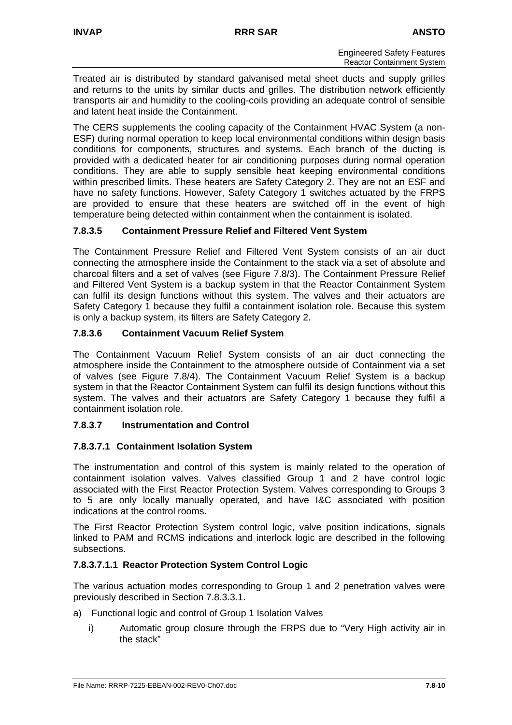Treated air is distributed by standard galvanised metal sheet ducts and supply grilles and returns to the units by similar ducts and grilles. The distribution network efficiently transports air and humidity to the cooling-coils providing an adequate control of sensible and latent heat inside the Containment.

The CERS supplements the cooling capacity of the Containment HVAC System (a non-ESF) during normal operation to keep local environmental conditions within design basis conditions for components, structures and systems. Each branch of the ducting is provided with a dedicated heater for air conditioning purposes during normal operation conditions. They are able to supply sensible heat keeping environmental conditions within prescribed limits. These heaters are Safety Category 2. They are not an ESF and have no safety functions. However, Safety Category 1 switches actuated by the FRPS are provided to ensure that these heaters are switched off in the event of high temperature being detected within containment when the containment is isolated.

## **7.8.3.5 Containment Pressure Relief and Filtered Vent System**

The Containment Pressure Relief and Filtered Vent System consists of an air duct connecting the atmosphere inside the Containment to the stack via a set of absolute and charcoal filters and a set of valves (see Figure 7.8/3). The Containment Pressure Relief and Filtered Vent System is a backup system in that the Reactor Containment System can fulfil its design functions without this system. The valves and their actuators are Safety Category 1 because they fulfil a containment isolation role. Because this system is only a backup system, its filters are Safety Category 2.

## **7.8.3.6 Containment Vacuum Relief System**

The Containment Vacuum Relief System consists of an air duct connecting the atmosphere inside the Containment to the atmosphere outside of Containment via a set of valves (see Figure 7.8/4). The Containment Vacuum Relief System is a backup system in that the Reactor Containment System can fulfil its design functions without this system. The valves and their actuators are Safety Category 1 because they fulfil a containment isolation role.

## **7.8.3.7 Instrumentation and Control**

## **7.8.3.7.1 Containment Isolation System**

The instrumentation and control of this system is mainly related to the operation of containment isolation valves. Valves classified Group 1 and 2 have control logic associated with the First Reactor Protection System. Valves corresponding to Groups 3 to 5 are only locally manually operated, and have I&C associated with position indications at the control rooms.

The First Reactor Protection System control logic, valve position indications, signals linked to PAM and RCMS indications and interlock logic are described in the following subsections.

## **7.8.3.7.1.1 Reactor Protection System Control Logic**

The various actuation modes corresponding to Group 1 and 2 penetration valves were previously described in Section 7.8.3.3.1.

- a) Functional logic and control of Group 1 Isolation Valves
	- i) Automatic group closure through the FRPS due to "Very High activity air in the stack"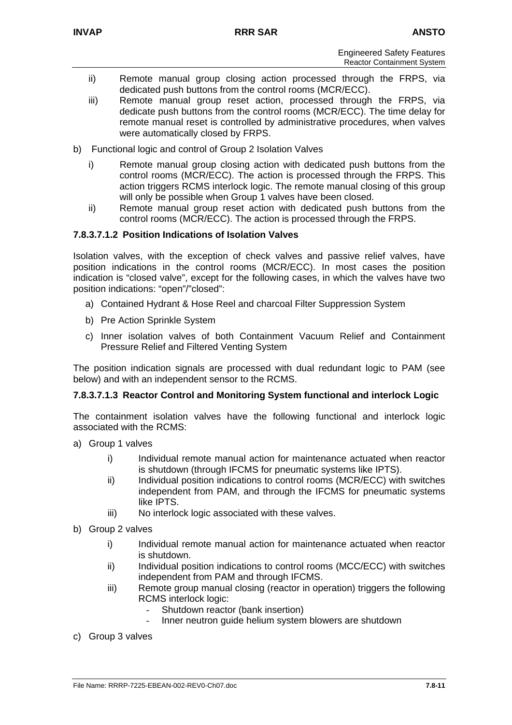- ii) Remote manual group closing action processed through the FRPS, via dedicated push buttons from the control rooms (MCR/ECC).
- iii) Remote manual group reset action, processed through the FRPS, via dedicate push buttons from the control rooms (MCR/ECC). The time delay for remote manual reset is controlled by administrative procedures, when valves were automatically closed by FRPS.
- b) Functional logic and control of Group 2 Isolation Valves
	- i) Remote manual group closing action with dedicated push buttons from the control rooms (MCR/ECC). The action is processed through the FRPS. This action triggers RCMS interlock logic. The remote manual closing of this group will only be possible when Group 1 valves have been closed.
	- ii) Remote manual group reset action with dedicated push buttons from the control rooms (MCR/ECC). The action is processed through the FRPS.

## **7.8.3.7.1.2 Position Indications of Isolation Valves**

Isolation valves, with the exception of check valves and passive relief valves, have position indications in the control rooms (MCR/ECC). In most cases the position indication is "closed valve", except for the following cases, in which the valves have two position indications: "open"/"closed":

- a) Contained Hydrant & Hose Reel and charcoal Filter Suppression System
- b) Pre Action Sprinkle System
- c) Inner isolation valves of both Containment Vacuum Relief and Containment Pressure Relief and Filtered Venting System

The position indication signals are processed with dual redundant logic to PAM (see below) and with an independent sensor to the RCMS.

#### **7.8.3.7.1.3 Reactor Control and Monitoring System functional and interlock Logic**

The containment isolation valves have the following functional and interlock logic associated with the RCMS:

- a) Group 1 valves
	- i) Individual remote manual action for maintenance actuated when reactor is shutdown (through IFCMS for pneumatic systems like IPTS).
	- ii) Individual position indications to control rooms (MCR/ECC) with switches independent from PAM, and through the IFCMS for pneumatic systems like IPTS.
	- iii) No interlock logic associated with these valves.
- b) Group 2 valves
	- i) Individual remote manual action for maintenance actuated when reactor is shutdown.
	- ii) Individual position indications to control rooms (MCC/ECC) with switches independent from PAM and through IFCMS.
	- iii) Remote group manual closing (reactor in operation) triggers the following RCMS interlock logic:
		- Shutdown reactor (bank insertion)
		- Inner neutron quide helium system blowers are shutdown
- c) Group 3 valves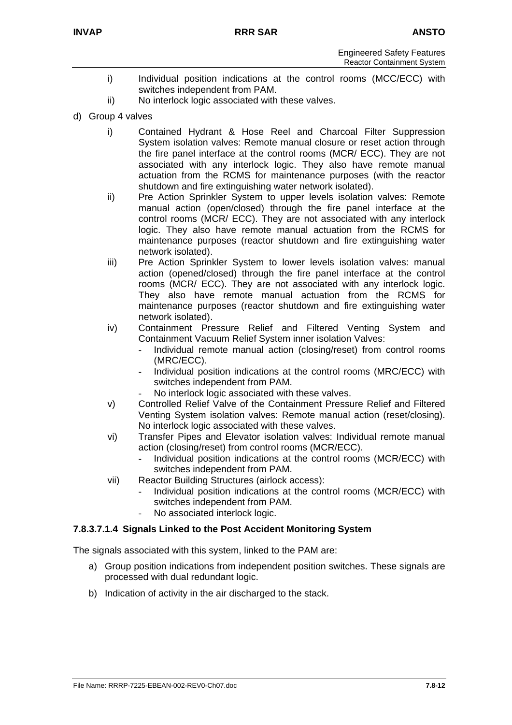- i) Individual position indications at the control rooms (MCC/ECC) with switches independent from PAM.
- ii) No interlock logic associated with these valves.
- d) Group 4 valves
	- i) Contained Hydrant & Hose Reel and Charcoal Filter Suppression System isolation valves: Remote manual closure or reset action through the fire panel interface at the control rooms (MCR/ ECC). They are not associated with any interlock logic. They also have remote manual actuation from the RCMS for maintenance purposes (with the reactor shutdown and fire extinguishing water network isolated).
	- ii) Pre Action Sprinkler System to upper levels isolation valves: Remote manual action (open/closed) through the fire panel interface at the control rooms (MCR/ ECC). They are not associated with any interlock logic. They also have remote manual actuation from the RCMS for maintenance purposes (reactor shutdown and fire extinguishing water network isolated).
	- iii) Pre Action Sprinkler System to lower levels isolation valves: manual action (opened/closed) through the fire panel interface at the control rooms (MCR/ ECC). They are not associated with any interlock logic. They also have remote manual actuation from the RCMS for maintenance purposes (reactor shutdown and fire extinguishing water network isolated).
	- iv) Containment Pressure Relief and Filtered Venting System and Containment Vacuum Relief System inner isolation Valves:
		- Individual remote manual action (closing/reset) from control rooms (MRC/ECC).
		- Individual position indications at the control rooms (MRC/ECC) with switches independent from PAM.
		- No interlock logic associated with these valves.
	- v) Controlled Relief Valve of the Containment Pressure Relief and Filtered Venting System isolation valves: Remote manual action (reset/closing). No interlock logic associated with these valves.
	- vi) Transfer Pipes and Elevator isolation valves: Individual remote manual action (closing/reset) from control rooms (MCR/ECC).
		- Individual position indications at the control rooms (MCR/ECC) with switches independent from PAM.
	- vii) Reactor Building Structures (airlock access):
		- Individual position indications at the control rooms (MCR/ECC) with switches independent from PAM.
		- No associated interlock logic.

#### **7.8.3.7.1.4 Signals Linked to the Post Accident Monitoring System**

The signals associated with this system, linked to the PAM are:

- a) Group position indications from independent position switches. These signals are processed with dual redundant logic.
- b) Indication of activity in the air discharged to the stack.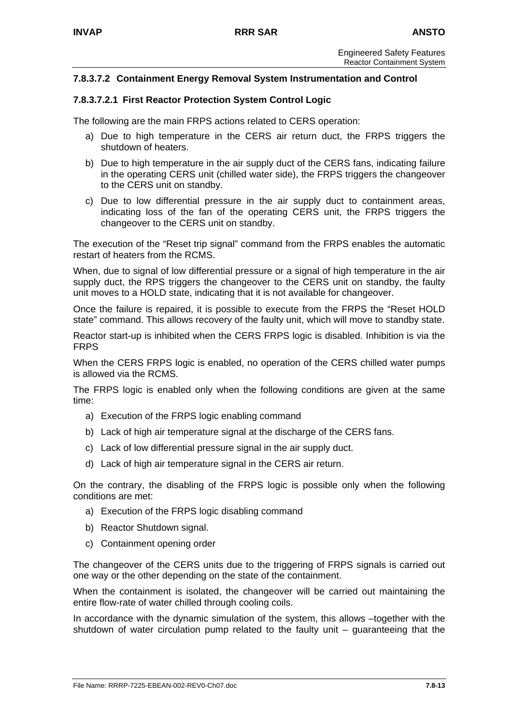## **7.8.3.7.2 Containment Energy Removal System Instrumentation and Control**

#### **7.8.3.7.2.1 First Reactor Protection System Control Logic**

The following are the main FRPS actions related to CERS operation:

- a) Due to high temperature in the CERS air return duct, the FRPS triggers the shutdown of heaters.
- b) Due to high temperature in the air supply duct of the CERS fans, indicating failure in the operating CERS unit (chilled water side), the FRPS triggers the changeover to the CERS unit on standby.
- c) Due to low differential pressure in the air supply duct to containment areas, indicating loss of the fan of the operating CERS unit, the FRPS triggers the changeover to the CERS unit on standby.

The execution of the "Reset trip signal" command from the FRPS enables the automatic restart of heaters from the RCMS.

When, due to signal of low differential pressure or a signal of high temperature in the air supply duct, the RPS triggers the changeover to the CERS unit on standby, the faulty unit moves to a HOLD state, indicating that it is not available for changeover.

Once the failure is repaired, it is possible to execute from the FRPS the "Reset HOLD state" command. This allows recovery of the faulty unit, which will move to standby state.

Reactor start-up is inhibited when the CERS FRPS logic is disabled. Inhibition is via the FRPS

When the CERS FRPS logic is enabled, no operation of the CERS chilled water pumps is allowed via the RCMS.

The FRPS logic is enabled only when the following conditions are given at the same time:

- a) Execution of the FRPS logic enabling command
- b) Lack of high air temperature signal at the discharge of the CERS fans.
- c) Lack of low differential pressure signal in the air supply duct.
- d) Lack of high air temperature signal in the CERS air return.

On the contrary, the disabling of the FRPS logic is possible only when the following conditions are met:

- a) Execution of the FRPS logic disabling command
- b) Reactor Shutdown signal.
- c) Containment opening order

The changeover of the CERS units due to the triggering of FRPS signals is carried out one way or the other depending on the state of the containment.

When the containment is isolated, the changeover will be carried out maintaining the entire flow-rate of water chilled through cooling coils.

In accordance with the dynamic simulation of the system, this allows –together with the shutdown of water circulation pump related to the faulty unit – guaranteeing that the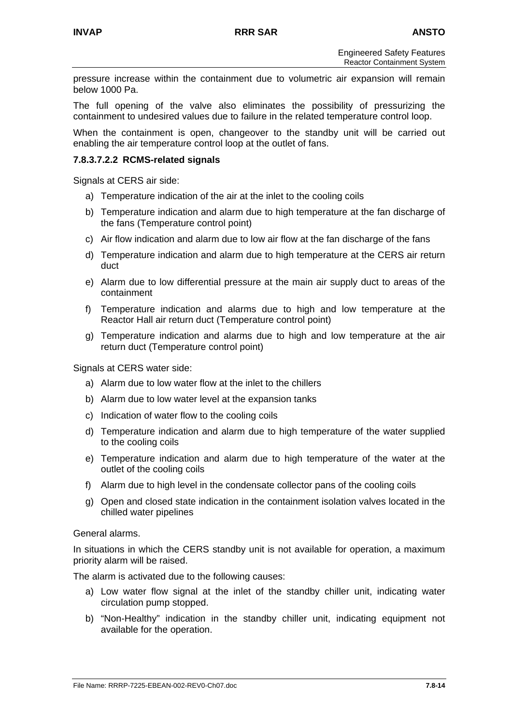pressure increase within the containment due to volumetric air expansion will remain below 1000 Pa.

The full opening of the valve also eliminates the possibility of pressurizing the containment to undesired values due to failure in the related temperature control loop.

When the containment is open, changeover to the standby unit will be carried out enabling the air temperature control loop at the outlet of fans.

#### **7.8.3.7.2.2 RCMS-related signals**

Signals at CERS air side:

- a) Temperature indication of the air at the inlet to the cooling coils
- b) Temperature indication and alarm due to high temperature at the fan discharge of the fans (Temperature control point)
- c) Air flow indication and alarm due to low air flow at the fan discharge of the fans
- d) Temperature indication and alarm due to high temperature at the CERS air return duct
- e) Alarm due to low differential pressure at the main air supply duct to areas of the containment
- f) Temperature indication and alarms due to high and low temperature at the Reactor Hall air return duct (Temperature control point)
- g) Temperature indication and alarms due to high and low temperature at the air return duct (Temperature control point)

Signals at CERS water side:

- a) Alarm due to low water flow at the inlet to the chillers
- b) Alarm due to low water level at the expansion tanks
- c) Indication of water flow to the cooling coils
- d) Temperature indication and alarm due to high temperature of the water supplied to the cooling coils
- e) Temperature indication and alarm due to high temperature of the water at the outlet of the cooling coils
- f) Alarm due to high level in the condensate collector pans of the cooling coils
- g) Open and closed state indication in the containment isolation valves located in the chilled water pipelines

General alarms.

In situations in which the CERS standby unit is not available for operation, a maximum priority alarm will be raised.

The alarm is activated due to the following causes:

- a) Low water flow signal at the inlet of the standby chiller unit, indicating water circulation pump stopped.
- b) "Non-Healthy" indication in the standby chiller unit, indicating equipment not available for the operation.

File Name: RRRP-7225-EBEAN-002-REV0-Ch07.doc **7.8-14**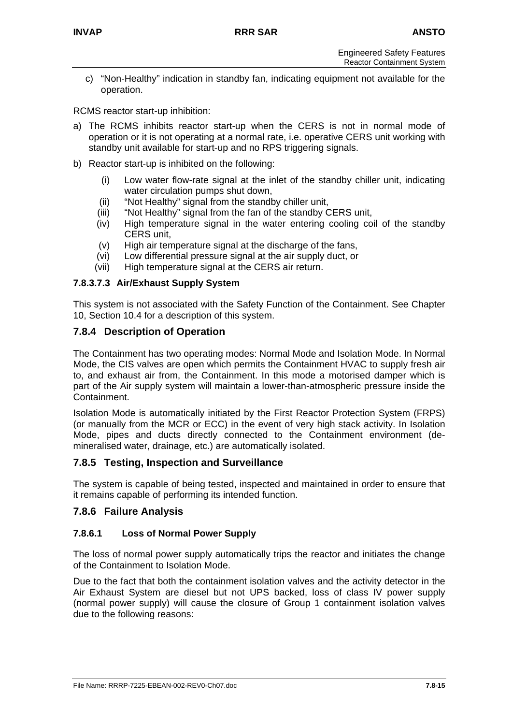c) "Non-Healthy" indication in standby fan, indicating equipment not available for the operation.

RCMS reactor start-up inhibition:

- a) The RCMS inhibits reactor start-up when the CERS is not in normal mode of operation or it is not operating at a normal rate, i.e. operative CERS unit working with standby unit available for start-up and no RPS triggering signals.
- b) Reactor start-up is inhibited on the following:
	- (i) Low water flow-rate signal at the inlet of the standby chiller unit, indicating water circulation pumps shut down,
	- (ii) "Not Healthy" signal from the standby chiller unit,
	- (iii) "Not Healthy" signal from the fan of the standby CERS unit,
	- (iv) High temperature signal in the water entering cooling coil of the standby CERS unit,
	- (v) High air temperature signal at the discharge of the fans,
	- (vi) Low differential pressure signal at the air supply duct, or
	- (vii) High temperature signal at the CERS air return.

## **7.8.3.7.3 Air/Exhaust Supply System**

This system is not associated with the Safety Function of the Containment. See Chapter 10, Section 10.4 for a description of this system.

## **7.8.4 Description of Operation**

The Containment has two operating modes: Normal Mode and Isolation Mode. In Normal Mode, the CIS valves are open which permits the Containment HVAC to supply fresh air to, and exhaust air from, the Containment. In this mode a motorised damper which is part of the Air supply system will maintain a lower-than-atmospheric pressure inside the Containment.

Isolation Mode is automatically initiated by the First Reactor Protection System (FRPS) (or manually from the MCR or ECC) in the event of very high stack activity. In Isolation Mode, pipes and ducts directly connected to the Containment environment (demineralised water, drainage, etc.) are automatically isolated.

## **7.8.5 Testing, Inspection and Surveillance**

The system is capable of being tested, inspected and maintained in order to ensure that it remains capable of performing its intended function.

#### **7.8.6 Failure Analysis**

#### **7.8.6.1 Loss of Normal Power Supply**

The loss of normal power supply automatically trips the reactor and initiates the change of the Containment to Isolation Mode.

Due to the fact that both the containment isolation valves and the activity detector in the Air Exhaust System are diesel but not UPS backed, loss of class IV power supply (normal power supply) will cause the closure of Group 1 containment isolation valves due to the following reasons: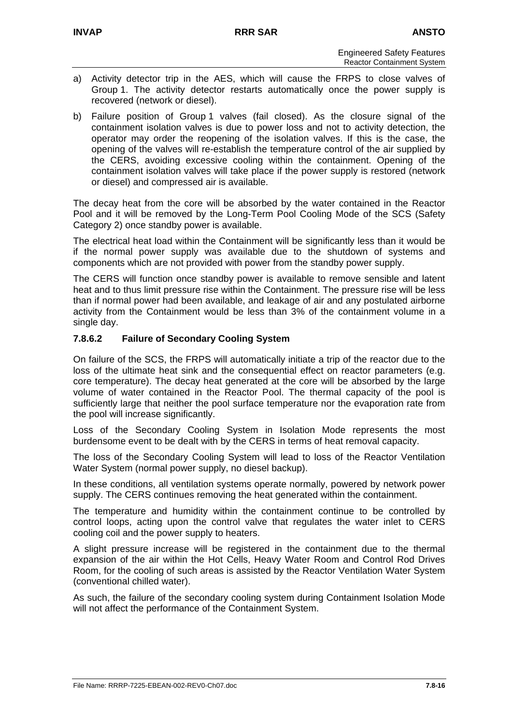- a) Activity detector trip in the AES, which will cause the FRPS to close valves of Group 1. The activity detector restarts automatically once the power supply is recovered (network or diesel).
- b) Failure position of Group 1 valves (fail closed). As the closure signal of the containment isolation valves is due to power loss and not to activity detection, the operator may order the reopening of the isolation valves. If this is the case, the opening of the valves will re-establish the temperature control of the air supplied by the CERS, avoiding excessive cooling within the containment. Opening of the containment isolation valves will take place if the power supply is restored (network or diesel) and compressed air is available.

The decay heat from the core will be absorbed by the water contained in the Reactor Pool and it will be removed by the Long-Term Pool Cooling Mode of the SCS (Safety Category 2) once standby power is available.

The electrical heat load within the Containment will be significantly less than it would be if the normal power supply was available due to the shutdown of systems and components which are not provided with power from the standby power supply.

The CERS will function once standby power is available to remove sensible and latent heat and to thus limit pressure rise within the Containment. The pressure rise will be less than if normal power had been available, and leakage of air and any postulated airborne activity from the Containment would be less than 3% of the containment volume in a single day.

## **7.8.6.2 Failure of Secondary Cooling System**

On failure of the SCS, the FRPS will automatically initiate a trip of the reactor due to the loss of the ultimate heat sink and the consequential effect on reactor parameters (e.g. core temperature). The decay heat generated at the core will be absorbed by the large volume of water contained in the Reactor Pool. The thermal capacity of the pool is sufficiently large that neither the pool surface temperature nor the evaporation rate from the pool will increase significantly.

Loss of the Secondary Cooling System in Isolation Mode represents the most burdensome event to be dealt with by the CERS in terms of heat removal capacity.

The loss of the Secondary Cooling System will lead to loss of the Reactor Ventilation Water System (normal power supply, no diesel backup).

In these conditions, all ventilation systems operate normally, powered by network power supply. The CERS continues removing the heat generated within the containment.

The temperature and humidity within the containment continue to be controlled by control loops, acting upon the control valve that regulates the water inlet to CERS cooling coil and the power supply to heaters.

A slight pressure increase will be registered in the containment due to the thermal expansion of the air within the Hot Cells, Heavy Water Room and Control Rod Drives Room, for the cooling of such areas is assisted by the Reactor Ventilation Water System (conventional chilled water).

As such, the failure of the secondary cooling system during Containment Isolation Mode will not affect the performance of the Containment System.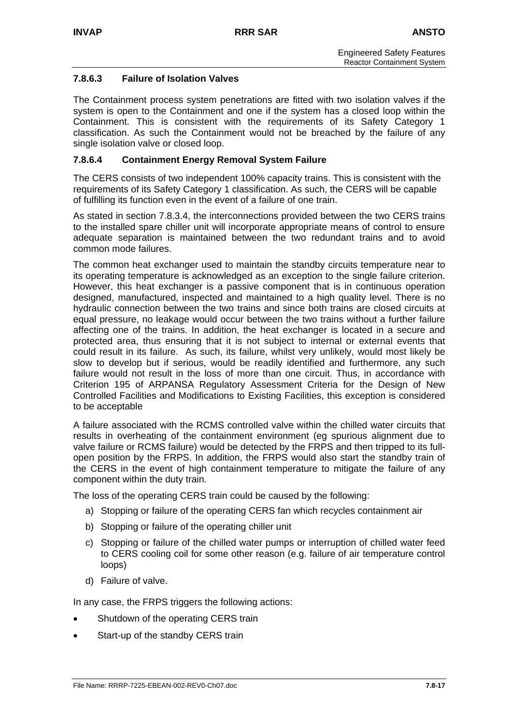## **7.8.6.3 Failure of Isolation Valves**

The Containment process system penetrations are fitted with two isolation valves if the system is open to the Containment and one if the system has a closed loop within the Containment. This is consistent with the requirements of its Safety Category 1 classification. As such the Containment would not be breached by the failure of any single isolation valve or closed loop.

## **7.8.6.4 Containment Energy Removal System Failure**

The CERS consists of two independent 100% capacity trains. This is consistent with the requirements of its Safety Category 1 classification. As such, the CERS will be capable of fulfilling its function even in the event of a failure of one train.

As stated in section 7.8.3.4, the interconnections provided between the two CERS trains to the installed spare chiller unit will incorporate appropriate means of control to ensure adequate separation is maintained between the two redundant trains and to avoid common mode failures.

The common heat exchanger used to maintain the standby circuits temperature near to its operating temperature is acknowledged as an exception to the single failure criterion. However, this heat exchanger is a passive component that is in continuous operation designed, manufactured, inspected and maintained to a high quality level. There is no hydraulic connection between the two trains and since both trains are closed circuits at equal pressure, no leakage would occur between the two trains without a further failure affecting one of the trains. In addition, the heat exchanger is located in a secure and protected area, thus ensuring that it is not subject to internal or external events that could result in its failure. As such, its failure, whilst very unlikely, would most likely be slow to develop but if serious, would be readily identified and furthermore, any such failure would not result in the loss of more than one circuit. Thus, in accordance with Criterion 195 of ARPANSA Regulatory Assessment Criteria for the Design of New Controlled Facilities and Modifications to Existing Facilities, this exception is considered to be acceptable

A failure associated with the RCMS controlled valve within the chilled water circuits that results in overheating of the containment environment (eg spurious alignment due to valve failure or RCMS failure) would be detected by the FRPS and then tripped to its fullopen position by the FRPS. In addition, the FRPS would also start the standby train of the CERS in the event of high containment temperature to mitigate the failure of any component within the duty train.

The loss of the operating CERS train could be caused by the following:

- a) Stopping or failure of the operating CERS fan which recycles containment air
- b) Stopping or failure of the operating chiller unit
- c) Stopping or failure of the chilled water pumps or interruption of chilled water feed to CERS cooling coil for some other reason (e.g. failure of air temperature control loops)
- d) Failure of valve.

In any case, the FRPS triggers the following actions:

- Shutdown of the operating CERS train
- Start-up of the standby CERS train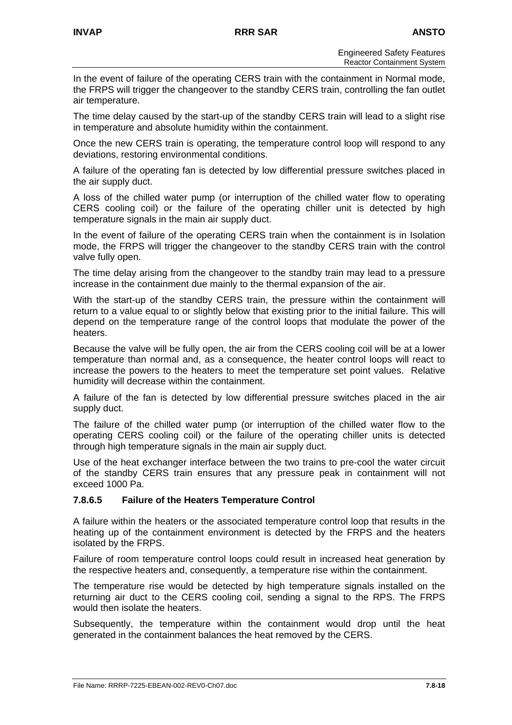In the event of failure of the operating CERS train with the containment in Normal mode, the FRPS will trigger the changeover to the standby CERS train, controlling the fan outlet air temperature.

The time delay caused by the start-up of the standby CERS train will lead to a slight rise in temperature and absolute humidity within the containment.

Once the new CERS train is operating, the temperature control loop will respond to any deviations, restoring environmental conditions.

A failure of the operating fan is detected by low differential pressure switches placed in the air supply duct.

A loss of the chilled water pump (or interruption of the chilled water flow to operating CERS cooling coil) or the failure of the operating chiller unit is detected by high temperature signals in the main air supply duct.

In the event of failure of the operating CERS train when the containment is in Isolation mode, the FRPS will trigger the changeover to the standby CERS train with the control valve fully open.

The time delay arising from the changeover to the standby train may lead to a pressure increase in the containment due mainly to the thermal expansion of the air.

With the start-up of the standby CERS train, the pressure within the containment will return to a value equal to or slightly below that existing prior to the initial failure. This will depend on the temperature range of the control loops that modulate the power of the heaters.

Because the valve will be fully open, the air from the CERS cooling coil will be at a lower temperature than normal and, as a consequence, the heater control loops will react to increase the powers to the heaters to meet the temperature set point values. Relative humidity will decrease within the containment.

A failure of the fan is detected by low differential pressure switches placed in the air supply duct.

The failure of the chilled water pump (or interruption of the chilled water flow to the operating CERS cooling coil) or the failure of the operating chiller units is detected through high temperature signals in the main air supply duct.

Use of the heat exchanger interface between the two trains to pre-cool the water circuit of the standby CERS train ensures that any pressure peak in containment will not exceed 1000 Pa.

## **7.8.6.5 Failure of the Heaters Temperature Control**

A failure within the heaters or the associated temperature control loop that results in the heating up of the containment environment is detected by the FRPS and the heaters isolated by the FRPS.

Failure of room temperature control loops could result in increased heat generation by the respective heaters and, consequently, a temperature rise within the containment.

The temperature rise would be detected by high temperature signals installed on the returning air duct to the CERS cooling coil, sending a signal to the RPS. The FRPS would then isolate the heaters.

Subsequently, the temperature within the containment would drop until the heat generated in the containment balances the heat removed by the CERS.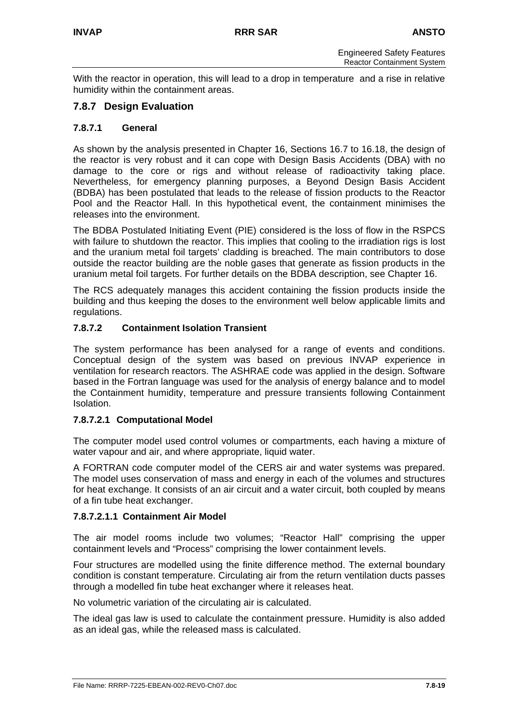With the reactor in operation, this will lead to a drop in temperature and a rise in relative humidity within the containment areas.

## **7.8.7 Design Evaluation**

## **7.8.7.1 General**

As shown by the analysis presented in Chapter 16, Sections 16.7 to 16.18, the design of the reactor is very robust and it can cope with Design Basis Accidents (DBA) with no damage to the core or rigs and without release of radioactivity taking place. Nevertheless, for emergency planning purposes, a Beyond Design Basis Accident (BDBA) has been postulated that leads to the release of fission products to the Reactor Pool and the Reactor Hall. In this hypothetical event, the containment minimises the releases into the environment.

The BDBA Postulated Initiating Event (PIE) considered is the loss of flow in the RSPCS with failure to shutdown the reactor. This implies that cooling to the irradiation rigs is lost and the uranium metal foil targets' cladding is breached. The main contributors to dose outside the reactor building are the noble gases that generate as fission products in the uranium metal foil targets. For further details on the BDBA description, see Chapter 16.

The RCS adequately manages this accident containing the fission products inside the building and thus keeping the doses to the environment well below applicable limits and regulations.

## **7.8.7.2 Containment Isolation Transient**

The system performance has been analysed for a range of events and conditions. Conceptual design of the system was based on previous INVAP experience in ventilation for research reactors. The ASHRAE code was applied in the design. Software based in the Fortran language was used for the analysis of energy balance and to model the Containment humidity, temperature and pressure transients following Containment Isolation.

## **7.8.7.2.1 Computational Model**

The computer model used control volumes or compartments, each having a mixture of water vapour and air, and where appropriate, liquid water.

A FORTRAN code computer model of the CERS air and water systems was prepared. The model uses conservation of mass and energy in each of the volumes and structures for heat exchange. It consists of an air circuit and a water circuit, both coupled by means of a fin tube heat exchanger.

#### **7.8.7.2.1.1 Containment Air Model**

The air model rooms include two volumes; "Reactor Hall" comprising the upper containment levels and "Process" comprising the lower containment levels.

Four structures are modelled using the finite difference method. The external boundary condition is constant temperature. Circulating air from the return ventilation ducts passes through a modelled fin tube heat exchanger where it releases heat.

No volumetric variation of the circulating air is calculated.

The ideal gas law is used to calculate the containment pressure. Humidity is also added as an ideal gas, while the released mass is calculated.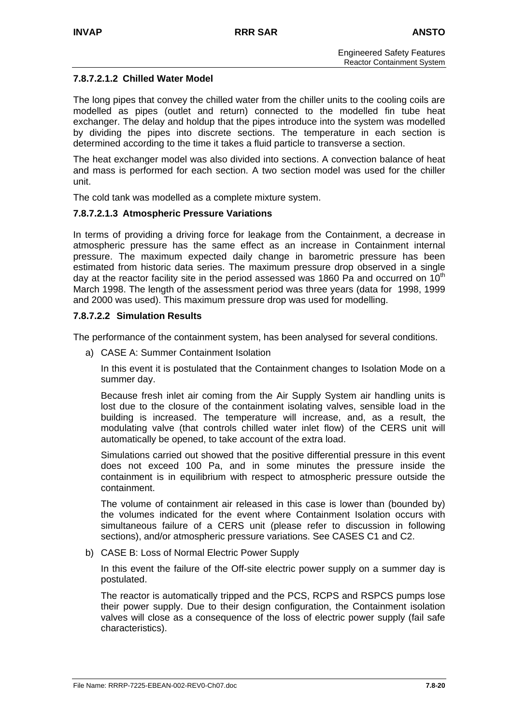## **7.8.7.2.1.2 Chilled Water Model**

The long pipes that convey the chilled water from the chiller units to the cooling coils are modelled as pipes (outlet and return) connected to the modelled fin tube heat exchanger. The delay and holdup that the pipes introduce into the system was modelled by dividing the pipes into discrete sections. The temperature in each section is determined according to the time it takes a fluid particle to transverse a section.

The heat exchanger model was also divided into sections. A convection balance of heat and mass is performed for each section. A two section model was used for the chiller unit.

The cold tank was modelled as a complete mixture system.

#### **7.8.7.2.1.3 Atmospheric Pressure Variations**

In terms of providing a driving force for leakage from the Containment, a decrease in atmospheric pressure has the same effect as an increase in Containment internal pressure. The maximum expected daily change in barometric pressure has been estimated from historic data series. The maximum pressure drop observed in a single day at the reactor facility site in the period assessed was 1860 Pa and occurred on  $10^{th}$ March 1998. The length of the assessment period was three years (data for 1998, 1999 and 2000 was used). This maximum pressure drop was used for modelling.

#### **7.8.7.2.2 Simulation Results**

The performance of the containment system, has been analysed for several conditions.

a) CASE A: Summer Containment Isolation

In this event it is postulated that the Containment changes to Isolation Mode on a summer day.

Because fresh inlet air coming from the Air Supply System air handling units is lost due to the closure of the containment isolating valves, sensible load in the building is increased. The temperature will increase, and, as a result, the modulating valve (that controls chilled water inlet flow) of the CERS unit will automatically be opened, to take account of the extra load.

Simulations carried out showed that the positive differential pressure in this event does not exceed 100 Pa, and in some minutes the pressure inside the containment is in equilibrium with respect to atmospheric pressure outside the containment.

The volume of containment air released in this case is lower than (bounded by) the volumes indicated for the event where Containment Isolation occurs with simultaneous failure of a CERS unit (please refer to discussion in following sections), and/or atmospheric pressure variations. See CASES C1 and C2.

b) CASE B: Loss of Normal Electric Power Supply

In this event the failure of the Off-site electric power supply on a summer day is postulated.

The reactor is automatically tripped and the PCS, RCPS and RSPCS pumps lose their power supply. Due to their design configuration, the Containment isolation valves will close as a consequence of the loss of electric power supply (fail safe characteristics).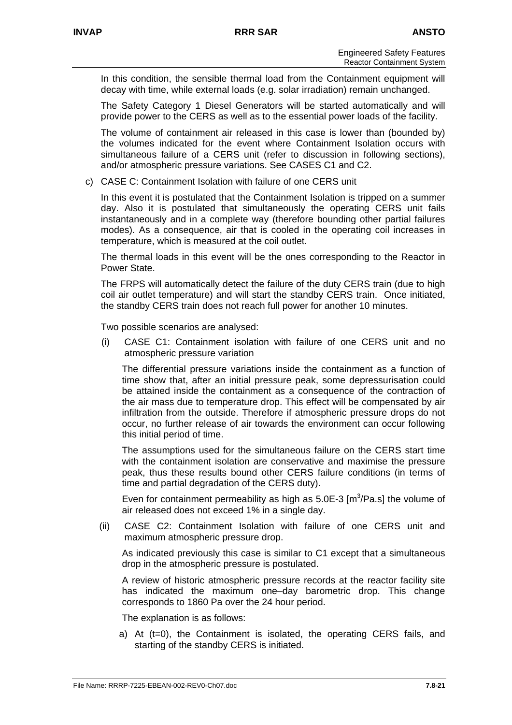In this condition, the sensible thermal load from the Containment equipment will decay with time, while external loads (e.g. solar irradiation) remain unchanged.

The Safety Category 1 Diesel Generators will be started automatically and will provide power to the CERS as well as to the essential power loads of the facility.

The volume of containment air released in this case is lower than (bounded by) the volumes indicated for the event where Containment Isolation occurs with simultaneous failure of a CERS unit (refer to discussion in following sections), and/or atmospheric pressure variations. See CASES C1 and C2.

c) CASE C: Containment Isolation with failure of one CERS unit

In this event it is postulated that the Containment Isolation is tripped on a summer day. Also it is postulated that simultaneously the operating CERS unit fails instantaneously and in a complete way (therefore bounding other partial failures modes). As a consequence, air that is cooled in the operating coil increases in temperature, which is measured at the coil outlet.

The thermal loads in this event will be the ones corresponding to the Reactor in Power State.

The FRPS will automatically detect the failure of the duty CERS train (due to high coil air outlet temperature) and will start the standby CERS train. Once initiated, the standby CERS train does not reach full power for another 10 minutes.

Two possible scenarios are analysed:

(i) CASE C1: Containment isolation with failure of one CERS unit and no atmospheric pressure variation

The differential pressure variations inside the containment as a function of time show that, after an initial pressure peak, some depressurisation could be attained inside the containment as a consequence of the contraction of the air mass due to temperature drop. This effect will be compensated by air infiltration from the outside. Therefore if atmospheric pressure drops do not occur, no further release of air towards the environment can occur following this initial period of time.

The assumptions used for the simultaneous failure on the CERS start time with the containment isolation are conservative and maximise the pressure peak, thus these results bound other CERS failure conditions (in terms of time and partial degradation of the CERS duty).

Even for containment permeability as high as  $5.0E-3$  [m<sup>3</sup>/Pa.s] the volume of air released does not exceed 1% in a single day.

(ii) CASE C2: Containment Isolation with failure of one CERS unit and maximum atmospheric pressure drop.

As indicated previously this case is similar to C1 except that a simultaneous drop in the atmospheric pressure is postulated.

A review of historic atmospheric pressure records at the reactor facility site has indicated the maximum one–day barometric drop. This change corresponds to 1860 Pa over the 24 hour period.

The explanation is as follows:

a) At (t=0), the Containment is isolated, the operating CERS fails, and starting of the standby CERS is initiated.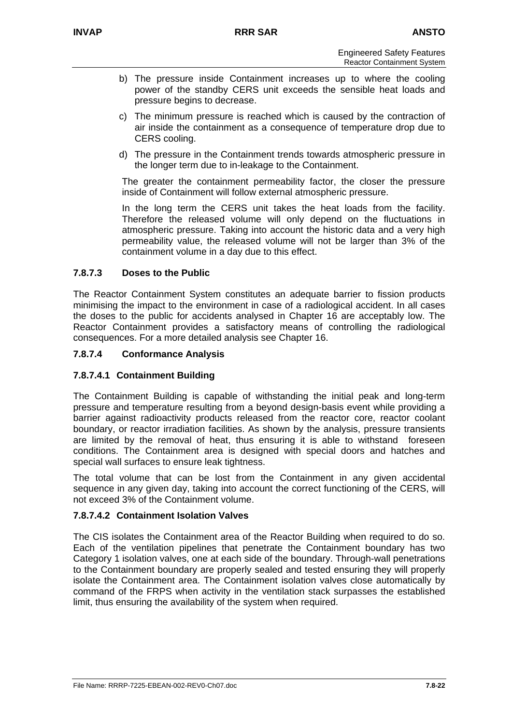- b) The pressure inside Containment increases up to where the cooling power of the standby CERS unit exceeds the sensible heat loads and pressure begins to decrease.
- c) The minimum pressure is reached which is caused by the contraction of air inside the containment as a consequence of temperature drop due to CERS cooling.
- d) The pressure in the Containment trends towards atmospheric pressure in the longer term due to in-leakage to the Containment.

The greater the containment permeability factor, the closer the pressure inside of Containment will follow external atmospheric pressure.

In the long term the CERS unit takes the heat loads from the facility. Therefore the released volume will only depend on the fluctuations in atmospheric pressure. Taking into account the historic data and a very high permeability value, the released volume will not be larger than 3% of the containment volume in a day due to this effect.

## **7.8.7.3 Doses to the Public**

The Reactor Containment System constitutes an adequate barrier to fission products minimising the impact to the environment in case of a radiological accident. In all cases the doses to the public for accidents analysed in Chapter 16 are acceptably low. The Reactor Containment provides a satisfactory means of controlling the radiological consequences. For a more detailed analysis see Chapter 16.

## **7.8.7.4 Conformance Analysis**

## **7.8.7.4.1 Containment Building**

The Containment Building is capable of withstanding the initial peak and long-term pressure and temperature resulting from a beyond design-basis event while providing a barrier against radioactivity products released from the reactor core, reactor coolant boundary, or reactor irradiation facilities. As shown by the analysis, pressure transients are limited by the removal of heat, thus ensuring it is able to withstand foreseen conditions. The Containment area is designed with special doors and hatches and special wall surfaces to ensure leak tightness.

The total volume that can be lost from the Containment in any given accidental sequence in any given day, taking into account the correct functioning of the CERS, will not exceed 3% of the Containment volume.

#### **7.8.7.4.2 Containment Isolation Valves**

The CIS isolates the Containment area of the Reactor Building when required to do so. Each of the ventilation pipelines that penetrate the Containment boundary has two Category 1 isolation valves, one at each side of the boundary. Through-wall penetrations to the Containment boundary are properly sealed and tested ensuring they will properly isolate the Containment area. The Containment isolation valves close automatically by command of the FRPS when activity in the ventilation stack surpasses the established limit, thus ensuring the availability of the system when required.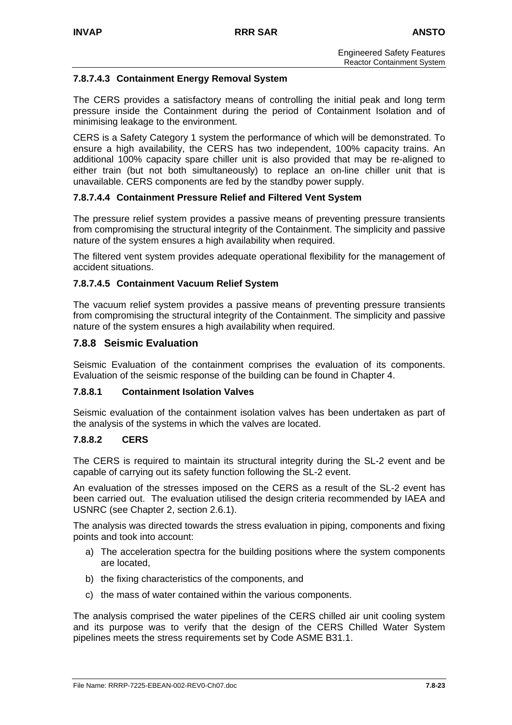## **7.8.7.4.3 Containment Energy Removal System**

The CERS provides a satisfactory means of controlling the initial peak and long term pressure inside the Containment during the period of Containment Isolation and of minimising leakage to the environment.

CERS is a Safety Category 1 system the performance of which will be demonstrated. To ensure a high availability, the CERS has two independent, 100% capacity trains. An additional 100% capacity spare chiller unit is also provided that may be re-aligned to either train (but not both simultaneously) to replace an on-line chiller unit that is unavailable. CERS components are fed by the standby power supply.

## **7.8.7.4.4 Containment Pressure Relief and Filtered Vent System**

The pressure relief system provides a passive means of preventing pressure transients from compromising the structural integrity of the Containment. The simplicity and passive nature of the system ensures a high availability when required.

The filtered vent system provides adequate operational flexibility for the management of accident situations.

## **7.8.7.4.5 Containment Vacuum Relief System**

The vacuum relief system provides a passive means of preventing pressure transients from compromising the structural integrity of the Containment. The simplicity and passive nature of the system ensures a high availability when required.

#### **7.8.8 Seismic Evaluation**

Seismic Evaluation of the containment comprises the evaluation of its components. Evaluation of the seismic response of the building can be found in Chapter 4.

#### **7.8.8.1 Containment Isolation Valves**

Seismic evaluation of the containment isolation valves has been undertaken as part of the analysis of the systems in which the valves are located.

#### **7.8.8.2 CERS**

The CERS is required to maintain its structural integrity during the SL-2 event and be capable of carrying out its safety function following the SL-2 event.

An evaluation of the stresses imposed on the CERS as a result of the SL-2 event has been carried out. The evaluation utilised the design criteria recommended by IAEA and USNRC (see Chapter 2, section 2.6.1).

The analysis was directed towards the stress evaluation in piping, components and fixing points and took into account:

- a) The acceleration spectra for the building positions where the system components are located,
- b) the fixing characteristics of the components, and
- c) the mass of water contained within the various components.

The analysis comprised the water pipelines of the CERS chilled air unit cooling system and its purpose was to verify that the design of the CERS Chilled Water System pipelines meets the stress requirements set by Code ASME B31.1.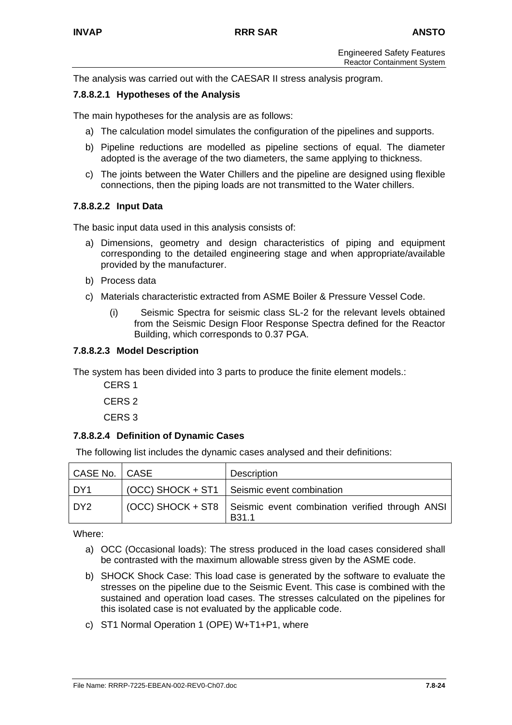The analysis was carried out with the CAESAR II stress analysis program.

#### **7.8.8.2.1 Hypotheses of the Analysis**

The main hypotheses for the analysis are as follows:

- a) The calculation model simulates the configuration of the pipelines and supports.
- b) Pipeline reductions are modelled as pipeline sections of equal. The diameter adopted is the average of the two diameters, the same applying to thickness.
- c) The joints between the Water Chillers and the pipeline are designed using flexible connections, then the piping loads are not transmitted to the Water chillers.

#### **7.8.8.2.2 Input Data**

The basic input data used in this analysis consists of:

- a) Dimensions, geometry and design characteristics of piping and equipment corresponding to the detailed engineering stage and when appropriate/available provided by the manufacturer.
- b) Process data
- c) Materials characteristic extracted from ASME Boiler & Pressure Vessel Code.
	- (i) Seismic Spectra for seismic class SL-2 for the relevant levels obtained from the Seismic Design Floor Response Spectra defined for the Reactor Building, which corresponds to 0.37 PGA.

#### **7.8.8.2.3 Model Description**

The system has been divided into 3 parts to produce the finite element models.:

CERS 1 CERS 2 CERS 3

#### **7.8.8.2.4 Definition of Dynamic Cases**

The following list includes the dynamic cases analysed and their definitions:

| CASE No.   CASE | Description                                                                              |
|-----------------|------------------------------------------------------------------------------------------|
| DY1             | (OCC) SHOCK + ST1   Seismic event combination                                            |
| DY <sub>2</sub> | (OCC) SHOCK + ST8   Seismic event combination verified through ANSI<br>B <sub>31.1</sub> |

Where:

- a) OCC (Occasional loads): The stress produced in the load cases considered shall be contrasted with the maximum allowable stress given by the ASME code.
- b) SHOCK Shock Case: This load case is generated by the software to evaluate the stresses on the pipeline due to the Seismic Event. This case is combined with the sustained and operation load cases. The stresses calculated on the pipelines for this isolated case is not evaluated by the applicable code.
- c) ST1 Normal Operation 1 (OPE) W+T1+P1, where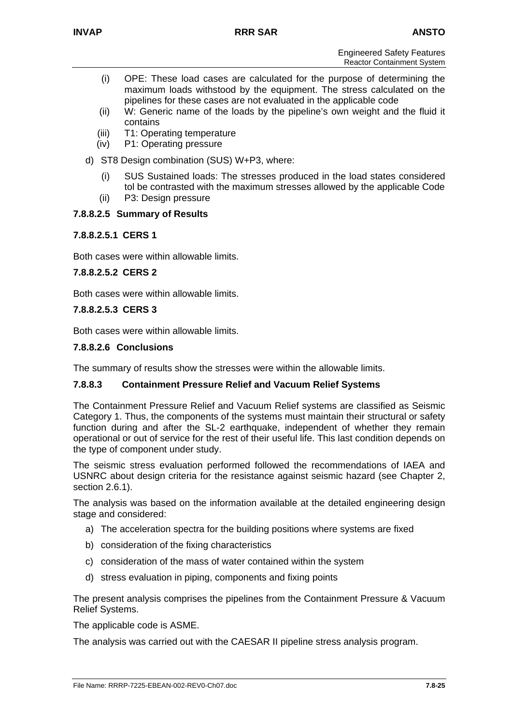- (i) OPE: These load cases are calculated for the purpose of determining the maximum loads withstood by the equipment. The stress calculated on the pipelines for these cases are not evaluated in the applicable code
- (ii) W: Generic name of the loads by the pipeline's own weight and the fluid it contains
- (iii) T1: Operating temperature
- (iv) P1: Operating pressure
- d) ST8 Design combination (SUS) W+P3, where:
	- (i) SUS Sustained loads: The stresses produced in the load states considered tol be contrasted with the maximum stresses allowed by the applicable Code
	- (ii) P3: Design pressure

## **7.8.8.2.5 Summary of Results**

## **7.8.8.2.5.1 CERS 1**

Both cases were within allowable limits.

## **7.8.8.2.5.2 CERS 2**

Both cases were within allowable limits.

## **7.8.8.2.5.3 CERS 3**

Both cases were within allowable limits.

## **7.8.8.2.6 Conclusions**

The summary of results show the stresses were within the allowable limits.

## **7.8.8.3 Containment Pressure Relief and Vacuum Relief Systems**

The Containment Pressure Relief and Vacuum Relief systems are classified as Seismic Category 1. Thus, the components of the systems must maintain their structural or safety function during and after the SL-2 earthquake, independent of whether they remain operational or out of service for the rest of their useful life. This last condition depends on the type of component under study.

The seismic stress evaluation performed followed the recommendations of IAEA and USNRC about design criteria for the resistance against seismic hazard (see Chapter 2, section 2.6.1).

The analysis was based on the information available at the detailed engineering design stage and considered:

- a) The acceleration spectra for the building positions where systems are fixed
- b) consideration of the fixing characteristics
- c) consideration of the mass of water contained within the system
- d) stress evaluation in piping, components and fixing points

The present analysis comprises the pipelines from the Containment Pressure & Vacuum Relief Systems.

The applicable code is ASME.

The analysis was carried out with the CAESAR II pipeline stress analysis program.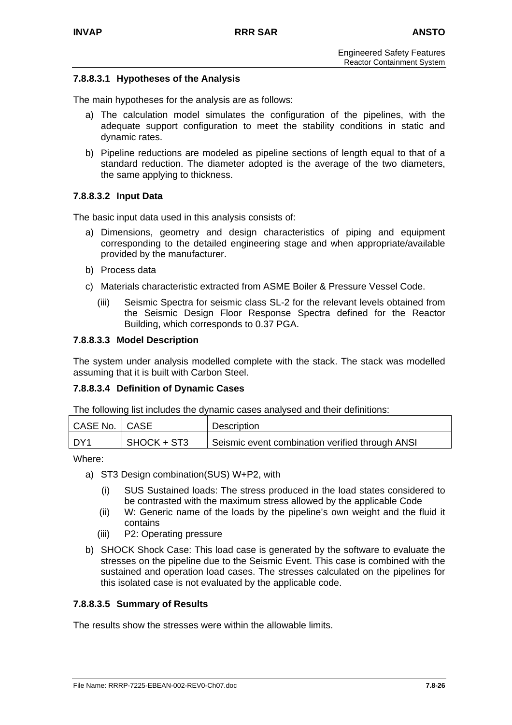## **7.8.8.3.1 Hypotheses of the Analysis**

The main hypotheses for the analysis are as follows:

- a) The calculation model simulates the configuration of the pipelines, with the adequate support configuration to meet the stability conditions in static and dynamic rates.
- b) Pipeline reductions are modeled as pipeline sections of length equal to that of a standard reduction. The diameter adopted is the average of the two diameters, the same applying to thickness.

#### **7.8.8.3.2 Input Data**

The basic input data used in this analysis consists of:

- a) Dimensions, geometry and design characteristics of piping and equipment corresponding to the detailed engineering stage and when appropriate/available provided by the manufacturer.
- b) Process data
- c) Materials characteristic extracted from ASME Boiler & Pressure Vessel Code.
	- (iii) Seismic Spectra for seismic class SL-2 for the relevant levels obtained from the Seismic Design Floor Response Spectra defined for the Reactor Building, which corresponds to 0.37 PGA.

#### **7.8.8.3.3 Model Description**

The system under analysis modelled complete with the stack. The stack was modelled assuming that it is built with Carbon Steel.

#### **7.8.8.3.4 Definition of Dynamic Cases**

The following list includes the dynamic cases analysed and their definitions:

| CASE No.   CASE |             | Description                                     |
|-----------------|-------------|-------------------------------------------------|
| DY1             | SHOCK + ST3 | Seismic event combination verified through ANSI |

Where:

- a) ST3 Design combination(SUS) W+P2, with
	- (i) SUS Sustained loads: The stress produced in the load states considered to be contrasted with the maximum stress allowed by the applicable Code
	- (ii) W: Generic name of the loads by the pipeline's own weight and the fluid it contains
	- (iii) P2: Operating pressure
- b) SHOCK Shock Case: This load case is generated by the software to evaluate the stresses on the pipeline due to the Seismic Event. This case is combined with the sustained and operation load cases. The stresses calculated on the pipelines for this isolated case is not evaluated by the applicable code.

#### **7.8.8.3.5 Summary of Results**

The results show the stresses were within the allowable limits.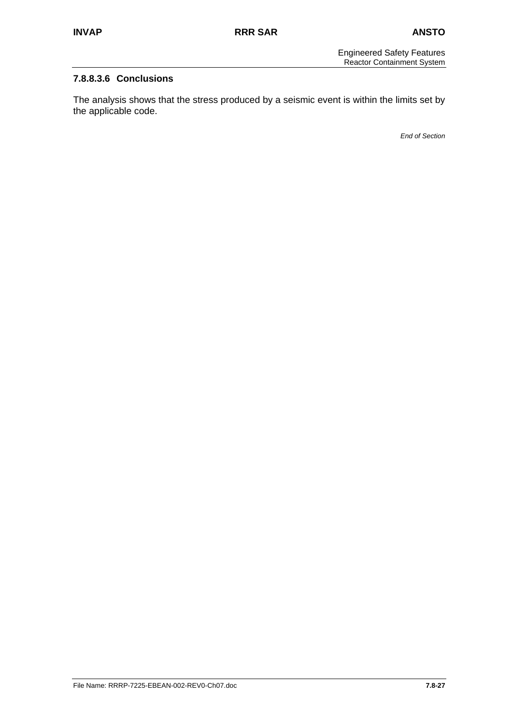## **7.8.8.3.6 Conclusions**

The analysis shows that the stress produced by a seismic event is within the limits set by the applicable code.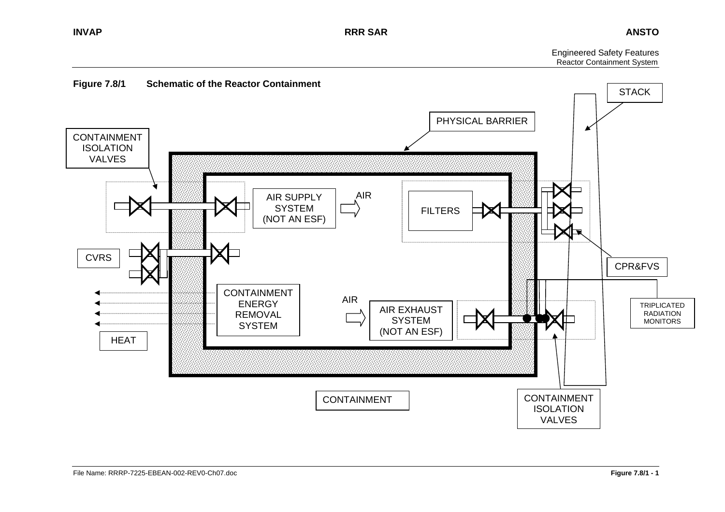Engineered Safety Features Reactor Containment System

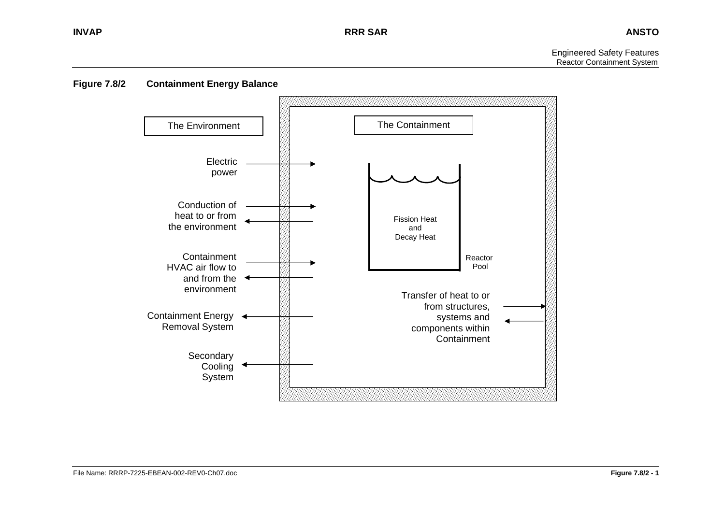Engineered Safety Features Reactor Containment System



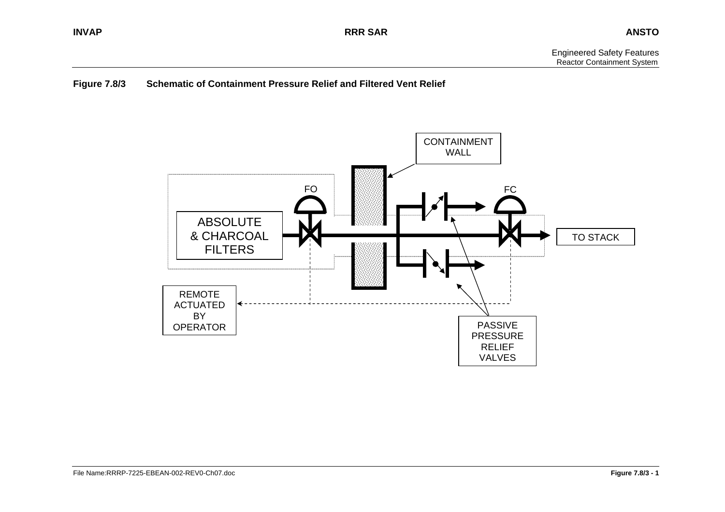## **Figure 7.8/3 Schematic of Containment Pressure Relief and Filtered Vent Relief**

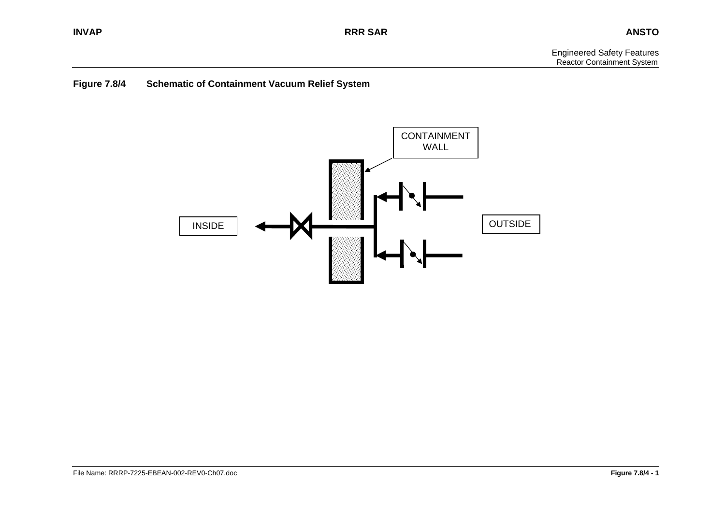## **Figure 7.8/4 Schematic of Containment Vacuum Relief System**

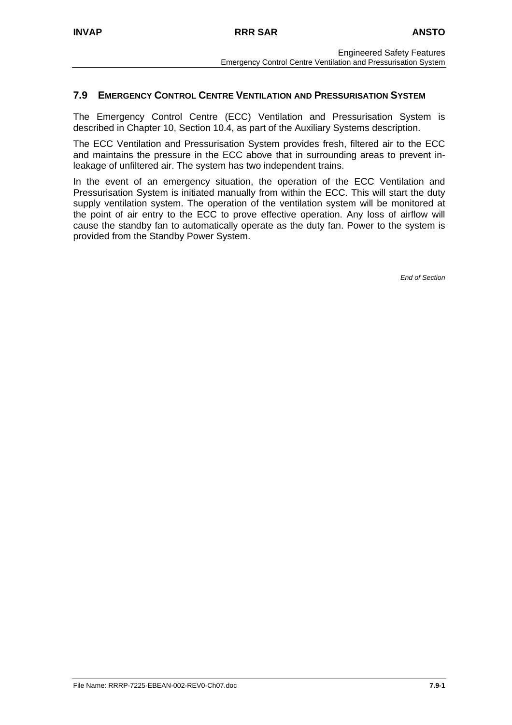## **7.9 EMERGENCY CONTROL CENTRE VENTILATION AND PRESSURISATION SYSTEM**

The Emergency Control Centre (ECC) Ventilation and Pressurisation System is described in Chapter 10, Section 10.4, as part of the Auxiliary Systems description.

The ECC Ventilation and Pressurisation System provides fresh, filtered air to the ECC and maintains the pressure in the ECC above that in surrounding areas to prevent inleakage of unfiltered air. The system has two independent trains.

In the event of an emergency situation, the operation of the ECC Ventilation and Pressurisation System is initiated manually from within the ECC. This will start the duty supply ventilation system. The operation of the ventilation system will be monitored at the point of air entry to the ECC to prove effective operation. Any loss of airflow will cause the standby fan to automatically operate as the duty fan. Power to the system is provided from the Standby Power System.